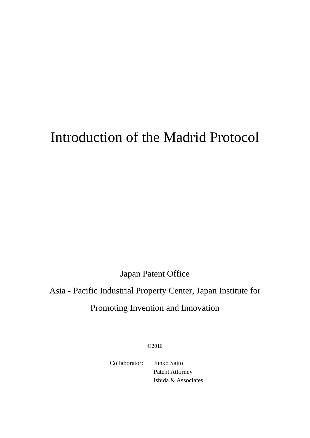# Introduction of the Madrid Protocol

Japan Patent Office

## Asia - Pacific Industrial Property Center, Japan Institute for Promoting Invention and Innovation

©2016

Collaborator: Junko Saito Patent Attorney Ishida & Associates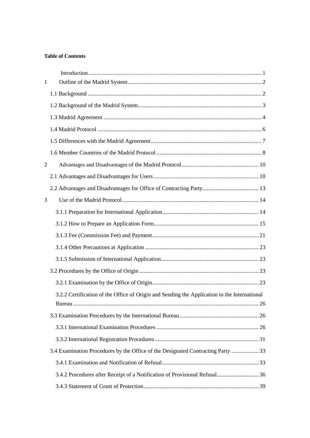## **Table of Contents**

| $\mathbf{1}$   |                                                                                              |  |
|----------------|----------------------------------------------------------------------------------------------|--|
|                |                                                                                              |  |
|                |                                                                                              |  |
|                |                                                                                              |  |
|                |                                                                                              |  |
|                |                                                                                              |  |
|                |                                                                                              |  |
| $\overline{2}$ |                                                                                              |  |
|                |                                                                                              |  |
|                |                                                                                              |  |
| 3              |                                                                                              |  |
|                |                                                                                              |  |
|                |                                                                                              |  |
|                |                                                                                              |  |
|                |                                                                                              |  |
|                |                                                                                              |  |
|                |                                                                                              |  |
|                |                                                                                              |  |
|                | 3.2.2 Certification of the Office of Origin and Sending the Application to the International |  |
|                |                                                                                              |  |
|                |                                                                                              |  |
|                |                                                                                              |  |
|                |                                                                                              |  |
|                | 3.4 Examination Procedures by the Office of the Designated Contracting Party  33             |  |
|                |                                                                                              |  |
|                | 3.4.2 Procedures after Receipt of a Notification of Provisional Refusal 36                   |  |
|                |                                                                                              |  |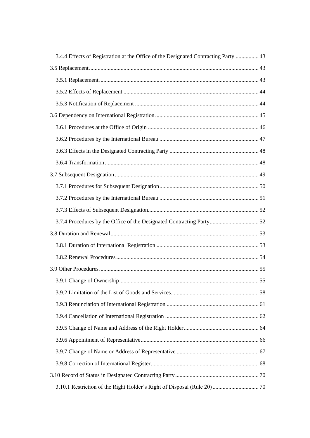| 3.4.4 Effects of Registration at the Office of the Designated Contracting Party  43 |  |
|-------------------------------------------------------------------------------------|--|
|                                                                                     |  |
|                                                                                     |  |
|                                                                                     |  |
|                                                                                     |  |
|                                                                                     |  |
|                                                                                     |  |
|                                                                                     |  |
|                                                                                     |  |
|                                                                                     |  |
|                                                                                     |  |
|                                                                                     |  |
|                                                                                     |  |
|                                                                                     |  |
|                                                                                     |  |
|                                                                                     |  |
|                                                                                     |  |
|                                                                                     |  |
|                                                                                     |  |
|                                                                                     |  |
|                                                                                     |  |
|                                                                                     |  |
|                                                                                     |  |
|                                                                                     |  |
|                                                                                     |  |
|                                                                                     |  |
|                                                                                     |  |
|                                                                                     |  |
|                                                                                     |  |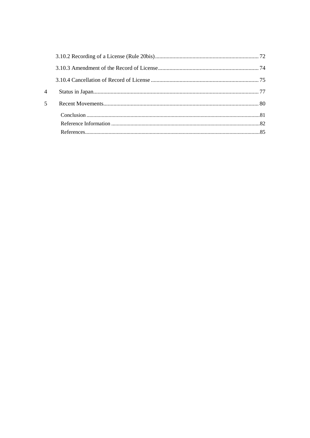| $\overline{4}$ |  |
|----------------|--|
| $\overline{5}$ |  |
|                |  |
|                |  |
|                |  |
|                |  |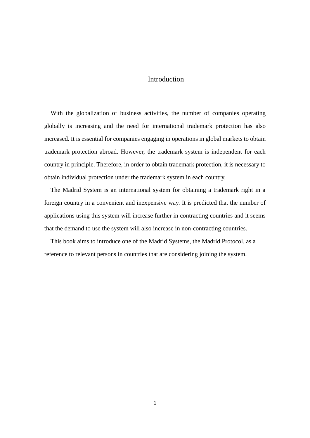## Introduction

<span id="page-4-0"></span>With the globalization of business activities, the number of companies operating globally is increasing and the need for international trademark protection has also increased. It is essential for companies engaging in operations in global markets to obtain trademark protection abroad. However, the trademark system is independent for each country in principle. Therefore, in order to obtain trademark protection, it is necessary to obtain individual protection under the trademark system in each country.

The Madrid System is an international system for obtaining a trademark right in a foreign country in a convenient and inexpensive way. It is predicted that the number of applications using this system will increase further in contracting countries and it seems that the demand to use the system will also increase in non-contracting countries.

This book aims to introduce one of the Madrid Systems, the Madrid Protocol, as a reference to relevant persons in countries that are considering joining the system.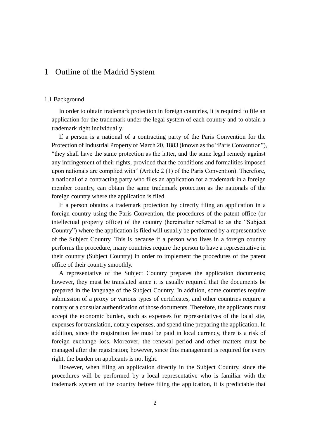## <span id="page-5-0"></span>1 Outline of the Madrid System

#### <span id="page-5-1"></span>1.1 Background

In order to obtain trademark protection in foreign countries, it is required to file an application for the trademark under the legal system of each country and to obtain a trademark right individually.

If a person is a national of a contracting party of the Paris Convention for the Protection of Industrial Property of March 20, 1883 (known as the "Paris Convention"), "they shall have the same protection as the latter, and the same legal remedy against any infringement of their rights, provided that the conditions and formalities imposed upon nationals are complied with" (Article 2 (1) of the Paris Convention). Therefore, a national of a contracting party who files an application for a trademark in a foreign member country, can obtain the same trademark protection as the nationals of the foreign country where the application is filed.

If a person obtains a trademark protection by directly filing an application in a foreign country using the Paris Convention, the procedures of the patent office (or intellectual property office) of the country (hereinafter referred to as the "Subject Country") where the application is filed will usually be performed by a representative of the Subject Country. This is because if a person who lives in a foreign country performs the procedure, many countries require the person to have a representative in their country (Subject Country) in order to implement the procedures of the patent office of their country smoothly.

A representative of the Subject Country prepares the application documents; however, they must be translated since it is usually required that the documents be prepared in the language of the Subject Country. In addition, some countries require submission of a proxy or various types of certificates, and other countries require a notary or a consular authentication of those documents. Therefore, the applicants must accept the economic burden, such as expenses for representatives of the local site, expenses for translation, notary expenses, and spend time preparing the application. In addition, since the registration fee must be paid in local currency, there is a risk of foreign exchange loss. Moreover, the renewal period and other matters must be managed after the registration; however, since this management is required for every right, the burden on applicants is not light.

However, when filing an application directly in the Subject Country, since the procedures will be performed by a local representative who is familiar with the trademark system of the country before filing the application, it is predictable that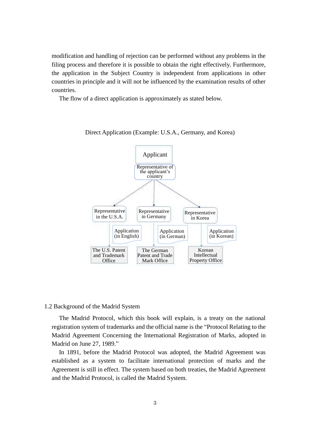modification and handling of rejection can be performed without any problems in the filing process and therefore it is possible to obtain the right effectively. Furthermore, the application in the Subject Country is independent from applications in other countries in principle and it will not be influenced by the examination results of other countries.

The flow of a direct application is approximately as stated below.



Direct Application (Example: U.S.A., Germany, and Korea)

#### <span id="page-6-0"></span>1.2 Background of the Madrid System

The Madrid Protocol, which this book will explain, is a treaty on the national registration system of trademarks and the official name is the "Protocol Relating to the Madrid Agreement Concerning the International Registration of Marks, adopted in Madrid on June 27, 1989."

In 1891, before the Madrid Protocol was adopted, the Madrid Agreement was established as a system to facilitate international protection of marks and the Agreement is still in effect. The system based on both treaties, the Madrid Agreement and the Madrid Protocol, is called the Madrid System.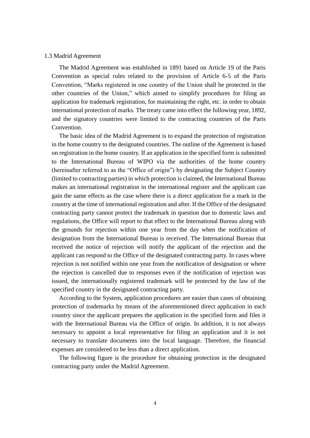#### <span id="page-7-0"></span>1.3 Madrid Agreement

The Madrid Agreement was established in 1891 based on Article 19 of the Paris Convention as special rules related to the provision of Article 6-5 of the Paris Convention, "Marks registered in one country of the Union shall be protected in the other countries of the Union," which aimed to simplify procedures for filing an application for trademark registration, for maintaining the right, etc. in order to obtain international protection of marks. The treaty came into effect the following year, 1892, and the signatory countries were limited to the contracting countries of the Paris Convention.

The basic idea of the Madrid Agreement is to expand the protection of registration in the home country to the designated countries. The outline of the Agreement is based on registration in the home country. If an application in the specified form is submitted to the International Bureau of WIPO via the authorities of the home country (hereinafter referred to as the "Office of origin") by designating the Subject Country (limited to contracting parties) in which protection is claimed, the International Bureau makes an international registration in the international register and the applicant can gain the same effects as the case where there is a direct application for a mark in the country at the time of international registration and after. If the Office of the designated contracting party cannot protect the trademark in question due to domestic laws and regulations, the Office will report to that effect to the International Bureau along with the grounds for rejection within one year from the day when the notification of designation from the International Bureau is received. The International Bureau that received the notice of rejection will notify the applicant of the rejection and the applicant can respond to the Office of the designated contracting party. In cases where rejection is not notified within one year from the notification of designation or where the rejection is cancelled due to responses even if the notification of rejection was issued, the internationally registered trademark will be protected by the law of the specified country in the designated contracting party.

According to the System, application procedures are easier than cases of obtaining protection of trademarks by means of the aforementioned direct application in each country since the applicant prepares the application in the specified form and files it with the International Bureau via the Office of origin. In addition, it is not always necessary to appoint a local representative for filing an application and it is not necessary to translate documents into the local language. Therefore, the financial expenses are considered to be less than a direct application.

The following figure is the procedure for obtaining protection in the designated contracting party under the Madrid Agreement.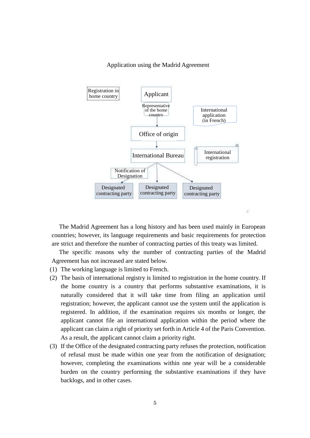#### Application using the Madrid Agreement



The Madrid Agreement has a long history and has been used mainly in European countries; however, its language requirements and basic requirements for protection are strict and therefore the number of contracting parties of this treaty was limited.

The specific reasons why the number of contracting parties of the Madrid Agreement has not increased are stated below.

- (1) The working language is limited to French.
- (2) The basis of international registry is limited to registration in the home country. If the home country is a country that performs substantive examinations, it is naturally considered that it will take time from filing an application until registration; however, the applicant cannot use the system until the application is registered. In addition, if the examination requires six months or longer, the applicant cannot file an international application within the period where the applicant can claim a right of priority set forth in Article 4 of the Paris Convention. As a result, the applicant cannot claim a priority right.
- (3) If the Office of the designated contracting party refuses the protection, notification of refusal must be made within one year from the notification of designation; however, completing the examinations within one year will be a considerable burden on the country performing the substantive examinations if they have backlogs, and in other cases.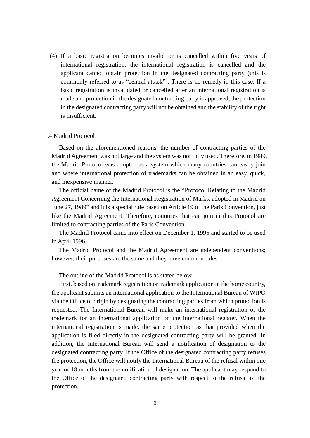(4) If a basic registration becomes invalid or is cancelled within five years of international registration, the international registration is cancelled and the applicant cannot obtain protection in the designated contracting party (this is commonly referred to as "central attack"). There is no remedy in this case. If a basic registration is invalidated or cancelled after an international registration is made and protection in the designated contracting party is approved, the protection in the designated contracting party will not be obtained and the stability of the right is insufficient.

#### <span id="page-9-0"></span>1.4 Madrid Protocol

Based on the aforementioned reasons, the number of contracting parties of the Madrid Agreement was not large and the system was not fully used. Therefore, in 1989, the Madrid Protocol was adopted as a system which many countries can easily join and where international protection of trademarks can be obtained in an easy, quick, and inexpensive manner.

The official name of the Madrid Protocol is the "Protocol Relating to the Madrid Agreement Concerning the International Registration of Marks, adopted in Madrid on June 27, 1989" and it is a special rule based on Article 19 of the Paris Convention, just like the Madrid Agreement. Therefore, countries that can join in this Protocol are limited to contracting parties of the Paris Convention.

The Madrid Protocol came into effect on December 1, 1995 and started to be used in April 1996.

The Madrid Protocol and the Madrid Agreement are independent conventions; however, their purposes are the same and they have common rules.

The outline of the Madrid Protocol is as stated below.

First, based on trademark registration or trademark application in the home country, the applicant submits an international application to the International Bureau of WIPO via the Office of origin by designating the contracting parties from which protection is requested. The International Bureau will make an international registration of the trademark for an international application on the international register. When the international registration is made, the same protection as that provided when the application is filed directly in the designated contracting party will be granted. In addition, the International Bureau will send a notification of designation to the designated contracting party. If the Office of the designated contracting party refuses the protection, the Office will notify the International Bureau of the refusal within one year or 18 months from the notification of designation. The applicant may respond to the Office of the designated contracting party with respect to the refusal of the protection.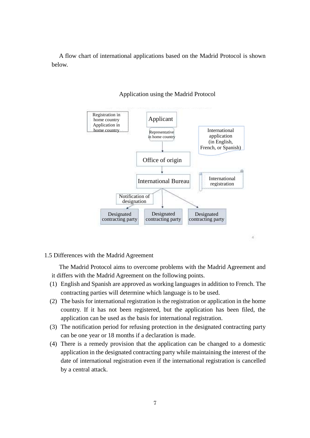A flow chart of international applications based on the Madrid Protocol is shown below.



#### Application using the Madrid Protocol

#### <span id="page-10-0"></span>1.5 Differences with the Madrid Agreement

The Madrid Protocol aims to overcome problems with the Madrid Agreement and it differs with the Madrid Agreement on the following points.

- (1) English and Spanish are approved as working languages in addition to French. The contracting parties will determine which language is to be used.
- (2) The basis for international registration is the registration or application in the home country. If it has not been registered, but the application has been filed, the application can be used as the basis for international registration.
- (3) The notification period for refusing protection in the designated contracting party can be one year or 18 months if a declaration is made.
- (4) There is a remedy provision that the application can be changed to a domestic application in the designated contracting party while maintaining the interest of the date of international registration even if the international registration is cancelled by a central attack.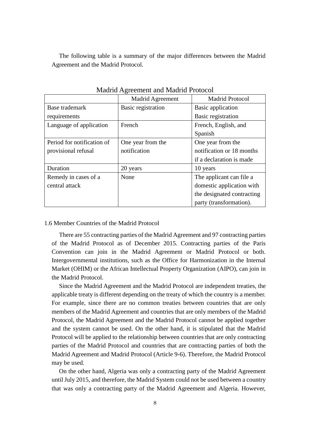The following table is a summary of the major differences between the Madrid Agreement and the Madrid Protocol.

| <b>Magine Agreement and Magine I Totocol</b> |                    |                            |  |  |  |
|----------------------------------------------|--------------------|----------------------------|--|--|--|
|                                              | Madrid Agreement   | <b>Madrid Protocol</b>     |  |  |  |
| Base trademark                               | Basic registration | Basic application          |  |  |  |
| requirements                                 |                    | Basic registration         |  |  |  |
| Language of application                      | French             | French, English, and       |  |  |  |
|                                              |                    | Spanish                    |  |  |  |
| Period for notification of                   | One year from the  | One year from the          |  |  |  |
| provisional refusal                          | notification       | notification or 18 months  |  |  |  |
|                                              |                    | if a declaration is made   |  |  |  |
| Duration                                     | 20 years           | 10 years                   |  |  |  |
| Remedy in cases of a                         | None               | The applicant can file a   |  |  |  |
| central attack                               |                    | domestic application with  |  |  |  |
|                                              |                    | the designated contracting |  |  |  |
|                                              |                    | party (transformation).    |  |  |  |

Madrid Agreement and Madrid Protocol

#### <span id="page-11-0"></span>1.6 Member Countries of the Madrid Protocol

There are 55 contracting parties of the Madrid Agreement and 97 contracting parties of the Madrid Protocol as of December 2015. Contracting parties of the Paris Convention can join in the Madrid Agreement or Madrid Protocol or both. Intergovernmental institutions, such as the Office for Harmonization in the Internal Market (OHIM) or the African Intellectual Property Organization (AIPO), can join in the Madrid Protocol.

Since the Madrid Agreement and the Madrid Protocol are independent treaties, the applicable treaty is different depending on the treaty of which the country is a member. For example, since there are no common treaties between countries that are only members of the Madrid Agreement and countries that are only members of the Madrid Protocol, the Madrid Agreement and the Madrid Protocol cannot be applied together and the system cannot be used. On the other hand, it is stipulated that the Madrid Protocol will be applied to the relationship between countries that are only contracting parties of the Madrid Protocol and countries that are contracting parties of both the Madrid Agreement and Madrid Protocol (Article 9-6). Therefore, the Madrid Protocol may be used.

On the other hand, Algeria was only a contracting party of the Madrid Agreement until July 2015, and therefore, the Madrid System could not be used between a country that was only a contracting party of the Madrid Agreement and Algeria. However,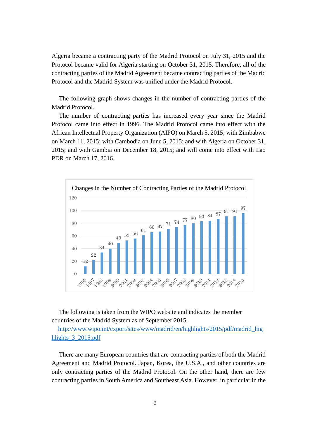Algeria became a contracting party of the Madrid Protocol on July 31, 2015 and the Protocol became valid for Algeria starting on October 31, 2015. Therefore, all of the contracting parties of the Madrid Agreement became contracting parties of the Madrid Protocol and the Madrid System was unified under the Madrid Protocol.

The following graph shows changes in the number of contracting parties of the Madrid Protocol.

The number of contracting parties has increased every year since the Madrid Protocol came into effect in 1996. The Madrid Protocol came into effect with the African Intellectual Property Organization (AIPO) on March 5, 2015; with Zimbabwe on March 11, 2015; with Cambodia on June 5, 2015; and with Algeria on October 31, 2015; and with Gambia on December 18, 2015; and will come into effect with Lao PDR on March 17, 2016.



The following is taken from the WIPO website and indicates the member countries of the Madrid System as of September 2015.

[http://www.wipo.int/export/sites/www/madrid/en/highlights/2015/pdf/madrid\\_hig](http://www.wipo.int/export/sites/www/madrid/en/highlights/2015/pdf/madrid_highlights_3_2015.pdf) hlights 3 2015.pdf

There are many European countries that are contracting parties of both the Madrid Agreement and Madrid Protocol. Japan, Korea, the U.S.A., and other countries are only contracting parties of the Madrid Protocol. On the other hand, there are few contracting parties in South America and Southeast Asia. However, in particular in the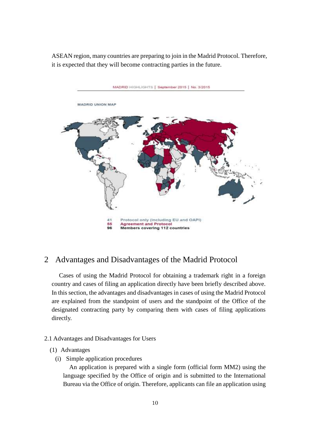ASEAN region, many countries are preparing to join in the Madrid Protocol. Therefore, it is expected that they will become contracting parties in the future.



## <span id="page-13-0"></span>2 Advantages and Disadvantages of the Madrid Protocol

Cases of using the Madrid Protocol for obtaining a trademark right in a foreign country and cases of filing an application directly have been briefly described above. In this section, the advantages and disadvantages in cases of using the Madrid Protocol are explained from the standpoint of users and the standpoint of the Office of the designated contracting party by comparing them with cases of filing applications directly.

#### <span id="page-13-1"></span>2.1 Advantages and Disadvantages for Users

#### (1) Advantages

(i) Simple application procedures

An application is prepared with a single form (official form MM2) using the language specified by the Office of origin and is submitted to the International Bureau via the Office of origin. Therefore, applicants can file an application using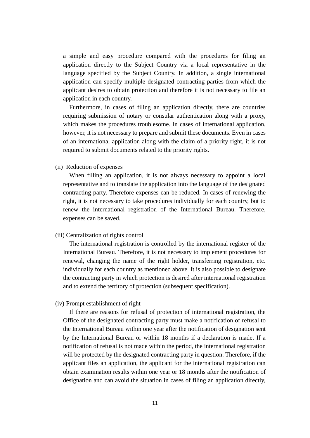a simple and easy procedure compared with the procedures for filing an application directly to the Subject Country via a local representative in the language specified by the Subject Country. In addition, a single international application can specify multiple designated contracting parties from which the applicant desires to obtain protection and therefore it is not necessary to file an application in each country.

Furthermore, in cases of filing an application directly, there are countries requiring submission of notary or consular authentication along with a proxy, which makes the procedures troublesome. In cases of international application, however, it is not necessary to prepare and submit these documents. Even in cases of an international application along with the claim of a priority right, it is not required to submit documents related to the priority rights.

(ii) Reduction of expenses

When filling an application, it is not always necessary to appoint a local representative and to translate the application into the language of the designated contracting party. Therefore expenses can be reduced. In cases of renewing the right, it is not necessary to take procedures individually for each country, but to renew the international registration of the International Bureau. Therefore, expenses can be saved.

#### (iii) Centralization of rights control

The international registration is controlled by the international register of the International Bureau. Therefore, it is not necessary to implement procedures for renewal, changing the name of the right holder, transferring registration, etc. individually for each country as mentioned above. It is also possible to designate the contracting party in which protection is desired after international registration and to extend the territory of protection (subsequent specification).

#### (iv) Prompt establishment of right

If there are reasons for refusal of protection of international registration, the Office of the designated contracting party must make a notification of refusal to the International Bureau within one year after the notification of designation sent by the International Bureau or within 18 months if a declaration is made. If a notification of refusal is not made within the period, the international registration will be protected by the designated contracting party in question. Therefore, if the applicant files an application, the applicant for the international registration can obtain examination results within one year or 18 months after the notification of designation and can avoid the situation in cases of filing an application directly,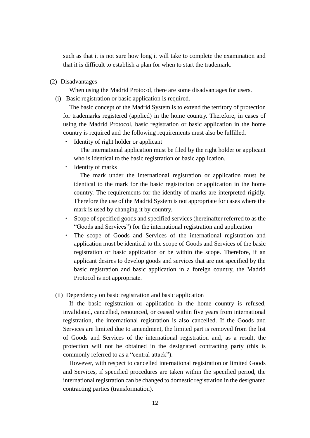such as that it is not sure how long it will take to complete the examination and that it is difficult to establish a plan for when to start the trademark.

(2) Disadvantages

When using the Madrid Protocol, there are some disadvantages for users.

(i) Basic registration or basic application is required.

The basic concept of the Madrid System is to extend the territory of protection for trademarks registered (applied) in the home country. Therefore, in cases of using the Madrid Protocol, basic registration or basic application in the home country is required and the following requirements must also be fulfilled.

Identity of right holder or applicant

The international application must be filed by the right holder or applicant who is identical to the basic registration or basic application.

Identity of marks

The mark under the international registration or application must be identical to the mark for the basic registration or application in the home country. The requirements for the identity of marks are interpreted rigidly. Therefore the use of the Madrid System is not appropriate for cases where the mark is used by changing it by country.

- Scope of specified goods and specified services (hereinafter referred to as the "Goods and Services") for the international registration and application
- ・ The scope of Goods and Services of the international registration and application must be identical to the scope of Goods and Services of the basic registration or basic application or be within the scope. Therefore, if an applicant desires to develop goods and services that are not specified by the basic registration and basic application in a foreign country, the Madrid Protocol is not appropriate.

#### (ii) Dependency on basic registration and basic application

If the basic registration or application in the home country is refused, invalidated, cancelled, renounced, or ceased within five years from international registration, the international registration is also cancelled. If the Goods and Services are limited due to amendment, the limited part is removed from the list of Goods and Services of the international registration and, as a result, the protection will not be obtained in the designated contracting party (this is commonly referred to as a "central attack").

However, with respect to cancelled international registration or limited Goods and Services, if specified procedures are taken within the specified period, the international registration can be changed to domestic registration in the designated contracting parties (transformation).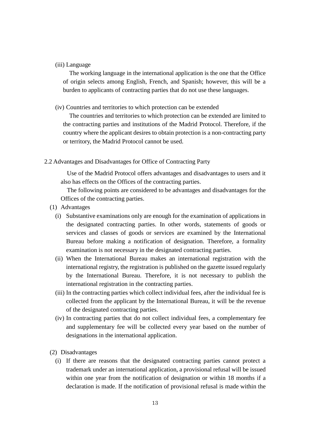#### (iii) Language

The working language in the international application is the one that the Office of origin selects among English, French, and Spanish; however, this will be a burden to applicants of contracting parties that do not use these languages.

#### (iv) Countries and territories to which protection can be extended

The countries and territories to which protection can be extended are limited to the contracting parties and institutions of the Madrid Protocol. Therefore, if the country where the applicant desires to obtain protection is a non-contracting party or territory, the Madrid Protocol cannot be used.

#### <span id="page-16-0"></span>2.2 Advantages and Disadvantages for Office of Contracting Party

Use of the Madrid Protocol offers advantages and disadvantages to users and it also has effects on the Offices of the contracting parties.

The following points are considered to be advantages and disadvantages for the Offices of the contracting parties.

- (1) Advantages
	- (i) Substantive examinations only are enough for the examination of applications in the designated contracting parties. In other words, statements of goods or services and classes of goods or services are examined by the International Bureau before making a notification of designation. Therefore, a formality examination is not necessary in the designated contracting parties.
	- (ii) When the International Bureau makes an international registration with the international registry, the registration is published on the gazette issued regularly by the International Bureau. Therefore, it is not necessary to publish the international registration in the contracting parties.
	- (iii) In the contracting parties which collect individual fees, after the individual fee is collected from the applicant by the International Bureau, it will be the revenue of the designated contracting parties.
	- (iv) In contracting parties that do not collect individual fees, a complementary fee and supplementary fee will be collected every year based on the number of designations in the international application.
- (2) Disadvantages
	- (i) If there are reasons that the designated contracting parties cannot protect a trademark under an international application, a provisional refusal will be issued within one year from the notification of designation or within 18 months if a declaration is made. If the notification of provisional refusal is made within the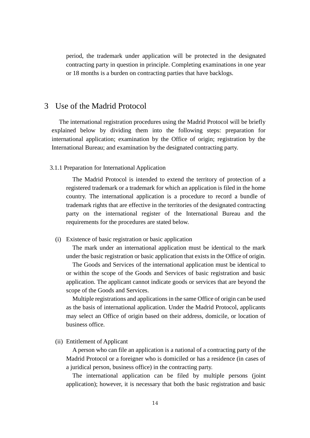period, the trademark under application will be protected in the designated contracting party in question in principle. Completing examinations in one year or 18 months is a burden on contracting parties that have backlogs.

## <span id="page-17-0"></span>3 Use of the Madrid Protocol

The international registration procedures using the Madrid Protocol will be briefly explained below by dividing them into the following steps: preparation for international application; examination by the Office of origin; registration by the International Bureau; and examination by the designated contracting party.

#### <span id="page-17-1"></span>3.1.1 Preparation for International Application

The Madrid Protocol is intended to extend the territory of protection of a registered trademark or a trademark for which an application is filed in the home country. The international application is a procedure to record a bundle of trademark rights that are effective in the territories of the designated contracting party on the international register of the International Bureau and the requirements for the procedures are stated below.

#### (i) Existence of basic registration or basic application

The mark under an international application must be identical to the mark under the basic registration or basic application that exists in the Office of origin.

The Goods and Services of the international application must be identical to or within the scope of the Goods and Services of basic registration and basic application. The applicant cannot indicate goods or services that are beyond the scope of the Goods and Services.

Multiple registrations and applications in the same Office of origin can be used as the basis of international application. Under the Madrid Protocol, applicants may select an Office of origin based on their address, domicile, or location of business office.

## (ii) Entitlement of Applicant

A person who can file an application is a national of a contracting party of the Madrid Protocol or a foreigner who is domiciled or has a residence (in cases of a juridical person, business office) in the contracting party.

The international application can be filed by multiple persons (joint application); however, it is necessary that both the basic registration and basic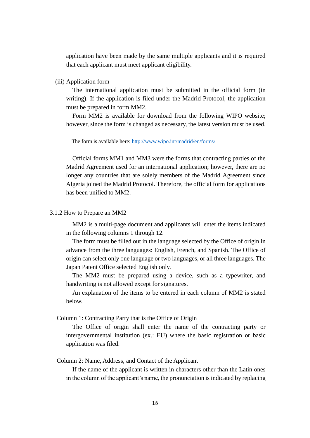application have been made by the same multiple applicants and it is required that each applicant must meet applicant eligibility.

(iii) Application form

The international application must be submitted in the official form (in writing). If the application is filed under the Madrid Protocol, the application must be prepared in form MM2.

Form MM2 is available for download from the following WIPO website; however, since the form is changed as necessary, the latest version must be used.

The form is available here:<http://www.wipo.int/madrid/en/forms/>

Official forms MM1 and MM3 were the forms that contracting parties of the Madrid Agreement used for an international application; however, there are no longer any countries that are solely members of the Madrid Agreement since Algeria joined the Madrid Protocol. Therefore, the official form for applications has been unified to MM2.

#### <span id="page-18-0"></span>3.1.2 How to Prepare an MM2

MM2 is a multi-page document and applicants will enter the items indicated in the following columns 1 through 12.

The form must be filled out in the language selected by the Office of origin in advance from the three languages: English, French, and Spanish. The Office of origin can select only one language or two languages, or all three languages. The Japan Patent Office selected English only.

The MM2 must be prepared using a device, such as a typewriter, and handwriting is not allowed except for signatures.

An explanation of the items to be entered in each column of MM2 is stated below.

Column 1: Contracting Party that is the Office of Origin

The Office of origin shall enter the name of the contracting party or intergovernmental institution (ex.: EU) where the basic registration or basic application was filed.

Column 2: Name, Address, and Contact of the Applicant

If the name of the applicant is written in characters other than the Latin ones in the column of the applicant's name, the pronunciation is indicated by replacing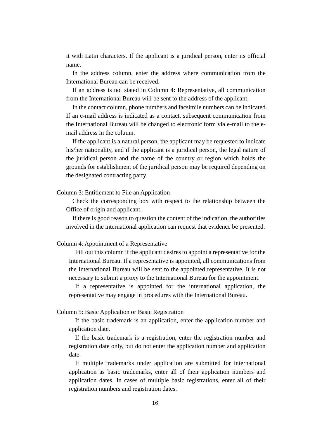it with Latin characters. If the applicant is a juridical person, enter its official name.

In the address column, enter the address where communication from the International Bureau can be received.

If an address is not stated in Column 4: Representative, all communication from the International Bureau will be sent to the address of the applicant.

In the contact column, phone numbers and facsimile numbers can be indicated. If an e-mail address is indicated as a contact, subsequent communication from the International Bureau will be changed to electronic form via e-mail to the email address in the column.

If the applicant is a natural person, the applicant may be requested to indicate his/her nationality, and if the applicant is a juridical person, the legal nature of the juridical person and the name of the country or region which holds the grounds for establishment of the juridical person may be required depending on the designated contracting party.

Column 3: Entitlement to File an Application

Check the corresponding box with respect to the relationship between the Office of origin and applicant.

If there is good reason to question the content of the indication, the authorities involved in the international application can request that evidence be presented.

#### Column 4: Appointment of a Representative

Fill out this column if the applicant desires to appoint a representative for the International Bureau. If a representative is appointed, all communications from the International Bureau will be sent to the appointed representative. It is not necessary to submit a proxy to the International Bureau for the appointment.

If a representative is appointed for the international application, the representative may engage in procedures with the International Bureau.

#### Column 5: Basic Application or Basic Registration

If the basic trademark is an application, enter the application number and application date.

If the basic trademark is a registration, enter the registration number and registration date only, but do not enter the application number and application date.

If multiple trademarks under application are submitted for international application as basic trademarks, enter all of their application numbers and application dates. In cases of multiple basic registrations, enter all of their registration numbers and registration dates.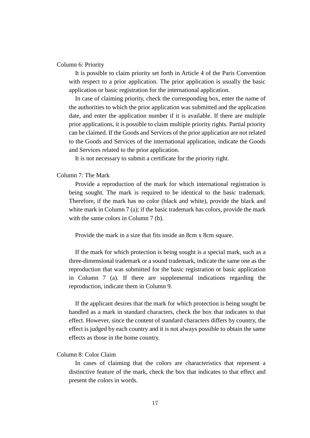#### Column 6: Priority

It is possible to claim priority set forth in Article 4 of the Paris Convention with respect to a prior application. The prior application is usually the basic application or basic registration for the international application.

In case of claiming priority, check the corresponding box, enter the name of the authorities to which the prior application was submitted and the application date, and enter the application number if it is available. If there are multiple prior applications, it is possible to claim multiple priority rights. Partial priority can be claimed. If the Goods and Services of the prior application are not related to the Goods and Services of the international application, indicate the Goods and Services related to the prior application.

It is not necessary to submit a certificate for the priority right.

#### Column 7: The Mark

Provide a reproduction of the mark for which international registration is being sought. The mark is required to be identical to the basic trademark. Therefore, if the mark has no color (black and white), provide the black and white mark in Column 7 (a); if the basic trademark has colors, provide the mark with the same colors in Column 7 (b).

Provide the mark in a size that fits inside an 8cm x 8cm square.

If the mark for which protection is being sought is a special mark, such as a three-dimensional trademark or a sound trademark, indicate the same one as the reproduction that was submitted for the basic registration or basic application in Column 7 (a). If there are supplemental indications regarding the reproduction, indicate them in Column 9.

If the applicant desires that the mark for which protection is being sought be handled as a mark in standard characters, check the box that indicates to that effect. However, since the content of standard characters differs by country, the effect is judged by each country and it is not always possible to obtain the same effects as those in the home country.

#### Column 8: Color Claim

In cases of claiming that the colors are characteristics that represent a distinctive feature of the mark, check the box that indicates to that effect and present the colors in words.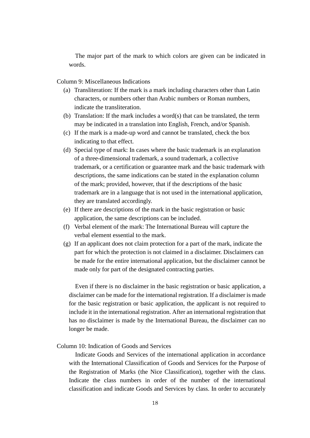The major part of the mark to which colors are given can be indicated in words.

Column 9: Miscellaneous Indications

- (a) Transliteration: If the mark is a mark including characters other than Latin characters, or numbers other than Arabic numbers or Roman numbers, indicate the transliteration.
- (b) Translation: If the mark includes a word(s) that can be translated, the term may be indicated in a translation into English, French, and/or Spanish.
- (c) If the mark is a made-up word and cannot be translated, check the box indicating to that effect.
- (d) Special type of mark: In cases where the basic trademark is an explanation of a three-dimensional trademark, a sound trademark, a collective trademark, or a certification or guarantee mark and the basic trademark with descriptions, the same indications can be stated in the explanation column of the mark; provided, however, that if the descriptions of the basic trademark are in a language that is not used in the international application, they are translated accordingly.
- (e) If there are descriptions of the mark in the basic registration or basic application, the same descriptions can be included.
- (f) Verbal element of the mark: The International Bureau will capture the verbal element essential to the mark.
- (g) If an applicant does not claim protection for a part of the mark, indicate the part for which the protection is not claimed in a disclaimer. Disclaimers can be made for the entire international application, but the disclaimer cannot be made only for part of the designated contracting parties.

Even if there is no disclaimer in the basic registration or basic application, a disclaimer can be made for the international registration. If a disclaimer is made for the basic registration or basic application, the applicant is not required to include it in the international registration. After an international registration that has no disclaimer is made by the International Bureau, the disclaimer can no longer be made.

#### Column 10: Indication of Goods and Services

Indicate Goods and Services of the international application in accordance with the International Classification of Goods and Services for the Purpose of the Registration of Marks (the Nice Classification), together with the class. Indicate the class numbers in order of the number of the international classification and indicate Goods and Services by class. In order to accurately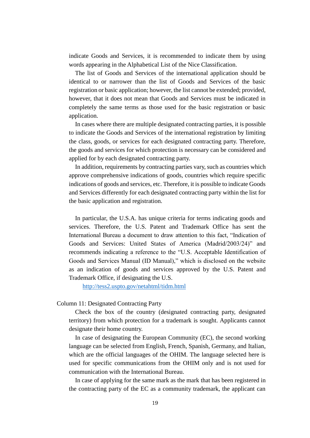indicate Goods and Services, it is recommended to indicate them by using words appearing in the Alphabetical List of the Nice Classification.

The list of Goods and Services of the international application should be identical to or narrower than the list of Goods and Services of the basic registration or basic application; however, the list cannot be extended; provided, however, that it does not mean that Goods and Services must be indicated in completely the same terms as those used for the basic registration or basic application.

In cases where there are multiple designated contracting parties, it is possible to indicate the Goods and Services of the international registration by limiting the class, goods, or services for each designated contracting party. Therefore, the goods and services for which protection is necessary can be considered and applied for by each designated contracting party.

In addition, requirements by contracting parties vary, such as countries which approve comprehensive indications of goods, countries which require specific indications of goods and services, etc. Therefore, it is possible to indicate Goods and Services differently for each designated contracting party within the list for the basic application and registration.

In particular, the U.S.A. has unique criteria for terms indicating goods and services. Therefore, the U.S. Patent and Trademark Office has sent the International Bureau a document to draw attention to this fact, "Indication of Goods and Services: United States of America (Madrid/2003/24)" and recommends indicating a reference to the "U.S. Acceptable Identification of Goods and Services Manual (ID Manual)," which is disclosed on the website as an indication of goods and services approved by the U.S. Patent and Trademark Office, if designating the U.S.

<http://tess2.uspto.gov/netahtml/tidm.html>

#### Column 11: Designated Contracting Party

Check the box of the country (designated contracting party, designated territory) from which protection for a trademark is sought. Applicants cannot designate their home country.

In case of designating the European Community (EC), the second working language can be selected from English, French, Spanish, Germany, and Italian, which are the official languages of the OHIM. The language selected here is used for specific communications from the OHIM only and is not used for communication with the International Bureau.

In case of applying for the same mark as the mark that has been registered in the contracting party of the EC as a community trademark, the applicant can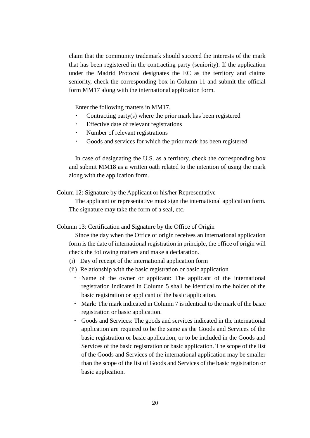claim that the community trademark should succeed the interests of the mark that has been registered in the contracting party (seniority). If the application under the Madrid Protocol designates the EC as the territory and claims seniority, check the corresponding box in Column 11 and submit the official form MM17 along with the international application form.

Enter the following matters in MM17.

- Contracting party(s) where the prior mark has been registered
- Effective date of relevant registrations
- Number of relevant registrations
- Goods and services for which the prior mark has been registered

In case of designating the U.S. as a territory, check the corresponding box and submit MM18 as a written oath related to the intention of using the mark along with the application form.

Colum 12: Signature by the Applicant or his/her Representative

The applicant or representative must sign the international application form. The signature may take the form of a seal, etc.

#### Column 13: Certification and Signature by the Office of Origin

Since the day when the Office of origin receives an international application form is the date of international registration in principle, the office of origin will check the following matters and make a declaration.

- (i) Day of receipt of the international application form
- (ii) Relationship with the basic registration or basic application
	- ・ Name of the owner or applicant: The applicant of the international registration indicated in Column 5 shall be identical to the holder of the basic registration or applicant of the basic application.
	- ・ Mark: The mark indicated in Column 7 is identical to the mark of the basic registration or basic application.
	- ・ Goods and Services: The goods and services indicated in the international application are required to be the same as the Goods and Services of the basic registration or basic application, or to be included in the Goods and Services of the basic registration or basic application. The scope of the list of the Goods and Services of the international application may be smaller than the scope of the list of Goods and Services of the basic registration or basic application.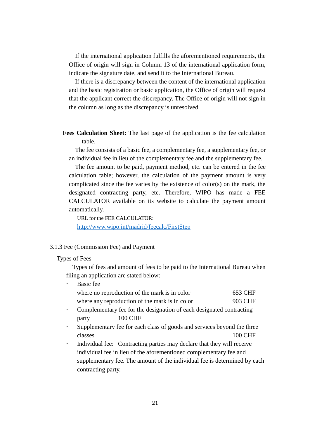If the international application fulfills the aforementioned requirements, the Office of origin will sign in Column 13 of the international application form, indicate the signature date, and send it to the International Bureau.

If there is a discrepancy between the content of the international application and the basic registration or basic application, the Office of origin will request that the applicant correct the discrepancy. The Office of origin will not sign in the column as long as the discrepancy is unresolved.

**Fees Calculation Sheet:** The last page of the application is the fee calculation table.

The fee consists of a basic fee, a complementary fee, a supplementary fee, or an individual fee in lieu of the complementary fee and the supplementary fee.

The fee amount to be paid, payment method, etc. can be entered in the fee calculation table; however, the calculation of the payment amount is very complicated since the fee varies by the existence of color(s) on the mark, the designated contracting party, etc. Therefore, WIPO has made a FEE CALCULATOR available on its website to calculate the payment amount automatically.

URL for the FEE CALCULATOR: <http://www.wipo.int/madrid/feecalc/FirstStep>

#### <span id="page-24-0"></span>3.1.3 Fee (Commission Fee) and Payment

#### Types of Fees

Types of fees and amount of fees to be paid to the International Bureau when filing an application are stated below:

|           | Basic fee                                                               |         |
|-----------|-------------------------------------------------------------------------|---------|
|           | where no reproduction of the mark is in color                           | 653 CHF |
|           | where any reproduction of the mark is in color                          | 903 CHF |
|           | Complementary fee for the designation of each designated contracting    |         |
|           | 100 CHF<br>party                                                        |         |
| $\bullet$ | Supplementary fee for each class of goods and services beyond the three |         |
|           | classes                                                                 |         |

 Individual fee: Contracting parties may declare that they will receive individual fee in lieu of the aforementioned complementary fee and supplementary fee. The amount of the individual fee is determined by each contracting party.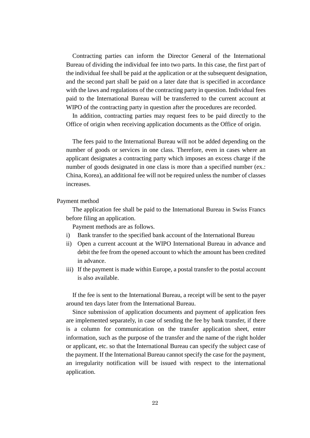Contracting parties can inform the Director General of the International Bureau of dividing the individual fee into two parts. In this case, the first part of the individual fee shall be paid at the application or at the subsequent designation, and the second part shall be paid on a later date that is specified in accordance with the laws and regulations of the contracting party in question. Individual fees paid to the International Bureau will be transferred to the current account at WIPO of the contracting party in question after the procedures are recorded.

In addition, contracting parties may request fees to be paid directly to the Office of origin when receiving application documents as the Office of origin.

The fees paid to the International Bureau will not be added depending on the number of goods or services in one class. Therefore, even in cases where an applicant designates a contracting party which imposes an excess charge if the number of goods designated in one class is more than a specified number (ex.: China, Korea), an additional fee will not be required unless the number of classes increases.

#### Payment method

The application fee shall be paid to the International Bureau in Swiss Francs before filing an application.

Payment methods are as follows.

- i) Bank transfer to the specified bank account of the International Bureau
- ii) Open a current account at the WIPO International Bureau in advance and debit the fee from the opened account to which the amount has been credited in advance.
- iii) If the payment is made within Europe, a postal transfer to the postal account is also available.

If the fee is sent to the International Bureau, a receipt will be sent to the payer around ten days later from the International Bureau.

Since submission of application documents and payment of application fees are implemented separately, in case of sending the fee by bank transfer, if there is a column for communication on the transfer application sheet, enter information, such as the purpose of the transfer and the name of the right holder or applicant, etc. so that the International Bureau can specify the subject case of the payment. If the International Bureau cannot specify the case for the payment, an irregularity notification will be issued with respect to the international application.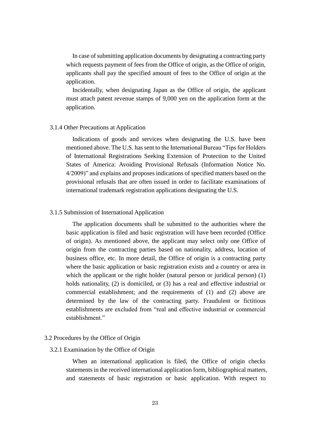In case of submitting application documents by designating a contracting party which requests payment of fees from the Office of origin, as the Office of origin, applicants shall pay the specified amount of fees to the Office of origin at the application.

Incidentally, when designating Japan as the Office of origin, the applicant must attach patent revenue stamps of 9,000 yen on the application form at the application.

#### <span id="page-26-0"></span>3.1.4 Other Precautions at Application

Indications of goods and services when designating the U.S. have been mentioned above. The U.S. has sent to the International Bureau "Tips for Holders of International Registrations Seeking Extension of Protection to the United States of America: Avoiding Provisional Refusals (Information Notice No. 4/2009)" and explains and proposes indications of specified matters based on the provisional refusals that are often issued in order to facilitate examinations of international trademark registration applications designating the U.S.

#### <span id="page-26-1"></span>3.1.5 Submission of International Application

The application documents shall be submitted to the authorities where the basic application is filed and basic registration will have been recorded (Office of origin). As mentioned above, the applicant may select only one Office of origin from the contracting parties based on nationality, address, location of business office, etc. In more detail, the Office of origin is a contracting party where the basic application or basic registration exists and a country or area in which the applicant or the right holder (natural person or juridical person) (1) holds nationality, (2) is domiciled, or (3) has a real and effective industrial or commercial establishment; and the requirements of (1) and (2) above are determined by the law of the contracting party. Fraudulent or fictitious establishments are excluded from "real and effective industrial or commercial establishment."

#### <span id="page-26-2"></span>3.2 Procedures by the Office of Origin

## <span id="page-26-3"></span>3.2.1 Examination by the Office of Origin

When an international application is filed, the Office of origin checks statements in the received international application form, bibliographical matters, and statements of basic registration or basic application. With respect to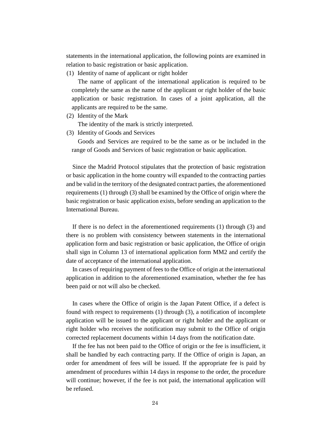statements in the international application, the following points are examined in relation to basic registration or basic application.

(1) Identity of name of applicant or right holder

The name of applicant of the international application is required to be completely the same as the name of the applicant or right holder of the basic application or basic registration. In cases of a joint application, all the applicants are required to be the same.

(2) Identity of the Mark

The identity of the mark is strictly interpreted.

(3) Identity of Goods and Services

Goods and Services are required to be the same as or be included in the range of Goods and Services of basic registration or basic application.

Since the Madrid Protocol stipulates that the protection of basic registration or basic application in the home country will expanded to the contracting parties and be valid in the territory of the designated contract parties, the aforementioned requirements (1) through (3) shall be examined by the Office of origin where the basic registration or basic application exists, before sending an application to the International Bureau.

If there is no defect in the aforementioned requirements (1) through (3) and there is no problem with consistency between statements in the international application form and basic registration or basic application, the Office of origin shall sign in Column 13 of international application form MM2 and certify the date of acceptance of the international application.

In cases of requiring payment of fees to the Office of origin at the international application in addition to the aforementioned examination, whether the fee has been paid or not will also be checked.

In cases where the Office of origin is the Japan Patent Office, if a defect is found with respect to requirements (1) through (3), a notification of incomplete application will be issued to the applicant or right holder and the applicant or right holder who receives the notification may submit to the Office of origin corrected replacement documents within 14 days from the notification date.

If the fee has not been paid to the Office of origin or the fee is insufficient, it shall be handled by each contracting party. If the Office of origin is Japan, an order for amendment of fees will be issued. If the appropriate fee is paid by amendment of procedures within 14 days in response to the order, the procedure will continue; however, if the fee is not paid, the international application will be refused.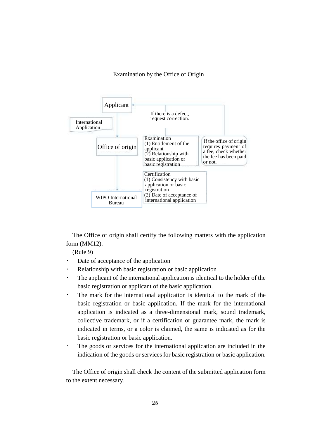#### Examination by the Office of Origin



The Office of origin shall certify the following matters with the application form (MM12).

(Rule 9)

- Date of acceptance of the application
- Relationship with basic registration or basic application
- The applicant of the international application is identical to the holder of the basic registration or applicant of the basic application.
- The mark for the international application is identical to the mark of the basic registration or basic application. If the mark for the international application is indicated as a three-dimensional mark, sound trademark, collective trademark, or if a certification or guarantee mark, the mark is indicated in terms, or a color is claimed, the same is indicated as for the basic registration or basic application.
- The goods or services for the international application are included in the indication of the goods or services for basic registration or basic application.

The Office of origin shall check the content of the submitted application form to the extent necessary.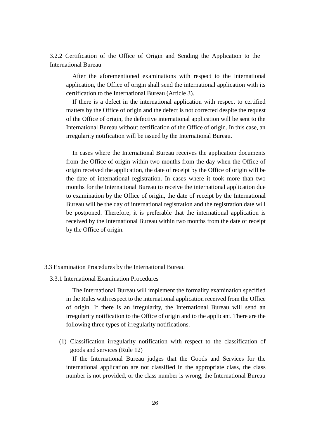<span id="page-29-0"></span>3.2.2 Certification of the Office of Origin and Sending the Application to the International Bureau

After the aforementioned examinations with respect to the international application, the Office of origin shall send the international application with its certification to the International Bureau (Article 3).

If there is a defect in the international application with respect to certified matters by the Office of origin and the defect is not corrected despite the request of the Office of origin, the defective international application will be sent to the International Bureau without certification of the Office of origin. In this case, an irregularity notification will be issued by the International Bureau.

In cases where the International Bureau receives the application documents from the Office of origin within two months from the day when the Office of origin received the application, the date of receipt by the Office of origin will be the date of international registration. In cases where it took more than two months for the International Bureau to receive the international application due to examination by the Office of origin, the date of receipt by the International Bureau will be the day of international registration and the registration date will be postponed. Therefore, it is preferable that the international application is received by the International Bureau within two months from the date of receipt by the Office of origin.

#### <span id="page-29-1"></span>3.3 Examination Procedures by the International Bureau

<span id="page-29-2"></span>3.3.1 International Examination Procedures

The International Bureau will implement the formality examination specified in the Rules with respect to the international application received from the Office of origin. If there is an irregularity, the International Bureau will send an irregularity notification to the Office of origin and to the applicant. There are the following three types of irregularity notifications.

(1) Classification irregularity notification with respect to the classification of goods and services (Rule 12)

If the International Bureau judges that the Goods and Services for the international application are not classified in the appropriate class, the class number is not provided, or the class number is wrong, the International Bureau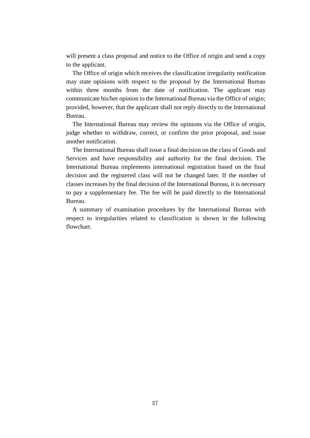will present a class proposal and notice to the Office of origin and send a copy to the applicant.

The Office of origin which receives the classification irregularity notification may state opinions with respect to the proposal by the International Bureau within three months from the date of notification. The applicant may communicate his/her opinion to the International Bureau via the Office of origin; provided, however, that the applicant shall not reply directly to the International Bureau.

The International Bureau may review the opinions via the Office of origin, judge whether to withdraw, correct, or confirm the prior proposal, and issue another notification.

The International Bureau shall issue a final decision on the class of Goods and Services and have responsibility and authority for the final decision. The International Bureau implements international registration based on the final decision and the registered class will not be changed later. If the number of classes increases by the final decision of the International Bureau, it is necessary to pay a supplementary fee. The fee will be paid directly to the International Bureau.

A summary of examination procedures by the International Bureau with respect to irregularities related to classification is shown in the following flowchart.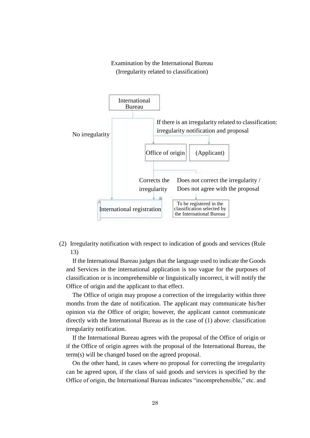## Examination by the International Bureau (Irregularity related to classification)



(2) Irregularity notification with respect to indication of goods and services (Rule 13)

If the International Bureau judges that the language used to indicate the Goods and Services in the international application is too vague for the purposes of classification or is incomprehensible or linguistically incorrect, it will notify the Office of origin and the applicant to that effect.

The Office of origin may propose a correction of the irregularity within three months from the date of notification. The applicant may communicate his/her opinion via the Office of origin; however, the applicant cannot communicate directly with the International Bureau as in the case of (1) above: classification irregularity notification.

If the International Bureau agrees with the proposal of the Office of origin or if the Office of origin agrees with the proposal of the International Bureau, the term(s) will be changed based on the agreed proposal.

On the other hand, in cases where no proposal for correcting the irregularity can be agreed upon, if the class of said goods and services is specified by the Office of origin, the International Bureau indicates "incomprehensible," etc. and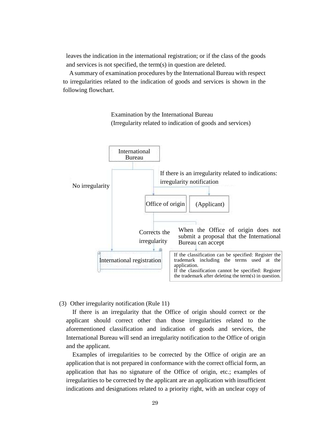leaves the indication in the international registration; or if the class of the goods and services is not specified, the term(s) in question are deleted.

A summary of examination procedures by the International Bureau with respect to irregularities related to the indication of goods and services is shown in the following flowchart.



Examination by the International Bureau (Irregularity related to indication of goods and services)

(3) Other irregularity notification (Rule 11)

If there is an irregularity that the Office of origin should correct or the applicant should correct other than those irregularities related to the aforementioned classification and indication of goods and services, the International Bureau will send an irregularity notification to the Office of origin and the applicant.

Examples of irregularities to be corrected by the Office of origin are an application that is not prepared in conformance with the correct official form, an application that has no signature of the Office of origin, etc.; examples of irregularities to be corrected by the applicant are an application with insufficient indications and designations related to a priority right, with an unclear copy of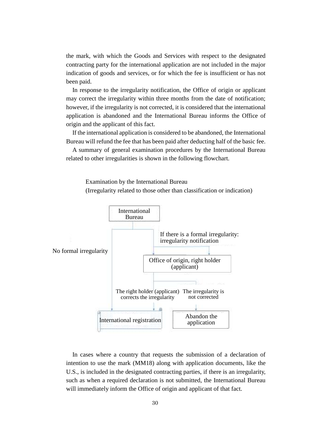the mark, with which the Goods and Services with respect to the designated contracting party for the international application are not included in the major indication of goods and services, or for which the fee is insufficient or has not been paid.

In response to the irregularity notification, the Office of origin or applicant may correct the irregularity within three months from the date of notification; however, if the irregularity is not corrected, it is considered that the international application is abandoned and the International Bureau informs the Office of origin and the applicant of this fact.

If the international application is considered to be abandoned, the International Bureau will refund the fee that has been paid after deducting half of the basic fee.

A summary of general examination procedures by the International Bureau related to other irregularities is shown in the following flowchart.

Examination by the International Bureau

(Irregularity related to those other than classification or indication)



In cases where a country that requests the submission of a declaration of intention to use the mark (MM18) along with application documents, like the U.S., is included in the designated contracting parties, if there is an irregularity, such as when a required declaration is not submitted, the International Bureau will immediately inform the Office of origin and applicant of that fact.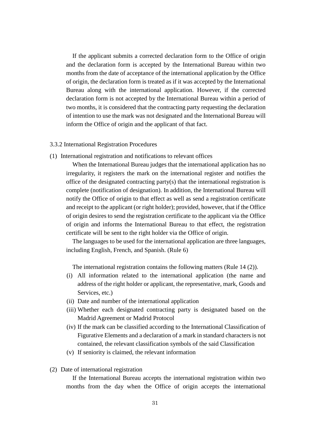If the applicant submits a corrected declaration form to the Office of origin and the declaration form is accepted by the International Bureau within two months from the date of acceptance of the international application by the Office of origin, the declaration form is treated as if it was accepted by the International Bureau along with the international application. However, if the corrected declaration form is not accepted by the International Bureau within a period of two months, it is considered that the contracting party requesting the declaration of intention to use the mark was not designated and the International Bureau will inform the Office of origin and the applicant of that fact.

- <span id="page-34-0"></span>3.3.2 International Registration Procedures
- (1) International registration and notifications to relevant offices

When the International Bureau judges that the international application has no irregularity, it registers the mark on the international register and notifies the office of the designated contracting party(s) that the international registration is complete (notification of designation). In addition, the International Bureau will notify the Office of origin to that effect as well as send a registration certificate and receipt to the applicant (or right holder); provided, however, that if the Office of origin desires to send the registration certificate to the applicant via the Office of origin and informs the International Bureau to that effect, the registration certificate will be sent to the right holder via the Office of origin.

The languages to be used for the international application are three languages, including English, French, and Spanish. (Rule 6)

The international registration contains the following matters (Rule 14 (2)).

- (i) All information related to the international application (the name and address of the right holder or applicant, the representative, mark, Goods and Services, etc.)
- (ii) Date and number of the international application
- (iii) Whether each designated contracting party is designated based on the Madrid Agreement or Madrid Protocol
- (iv) If the mark can be classified according to the International Classification of Figurative Elements and a declaration of a mark in standard characters is not contained, the relevant classification symbols of the said Classification
- (v) If seniority is claimed, the relevant information
- (2) Date of international registration

If the International Bureau accepts the international registration within two months from the day when the Office of origin accepts the international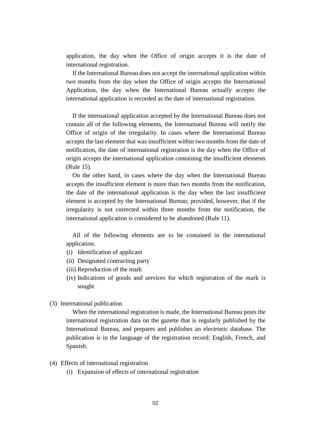application, the day when the Office of origin accepts it is the date of international registration.

If the International Bureau does not accept the international application within two months from the day when the Office of origin accepts the International Application, the day when the International Bureau actually accepts the international application is recorded as the date of international registration.

If the international application accepted by the International Bureau does not contain all of the following elements, the International Bureau will notify the Office of origin of the irregularity. In cases where the International Bureau accepts the last element that was insufficient within two months from the date of notification, the date of international registration is the day when the Office of origin accepts the international application containing the insufficient elements (Rule 15).

On the other hand, in cases where the day when the International Bureau accepts the insufficient element is more than two months from the notification, the date of the international application is the day when the last insufficient element is accepted by the International Bureau; provided, however, that if the irregularity is not corrected within three months from the notification, the international application is considered to be abandoned (Rule 11).

All of the following elements are to be contained in the international application.

- (i) Identification of applicant
- (ii) Designated contracting party
- (iii) Reproduction of the mark
- (iv) Indications of goods and services for which registration of the mark is sought
- (3) International publication

When the international registration is made, the International Bureau posts the international registration data on the gazette that is regularly published by the International Bureau, and prepares and publishes an electronic database. The publication is in the language of the registration record: English, French, and Spanish.

- (4) Effects of international registration
	- (i) Expansion of effects of international registration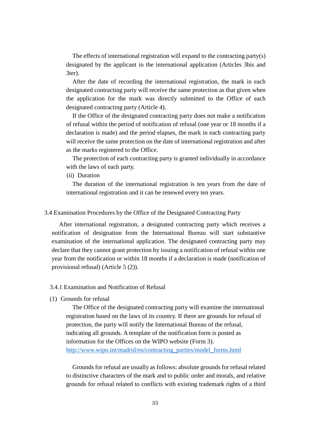The effects of international registration will expand to the contracting party(s) designated by the applicant in the international application (Articles 3bis and 3ter).

After the date of recording the international registration, the mark in each designated contracting party will receive the same protection as that given when the application for the mark was directly submitted to the Office of each designated contracting party (Article 4).

If the Office of the designated contracting party does not make a notification of refusal within the period of notification of refusal (one year or 18 months if a declaration is made) and the period elapses, the mark in each contracting party will receive the same protection on the date of international registration and after as the marks registered to the Office.

The protection of each contracting party is granted individually in accordance with the laws of each party.

(ii) Duration

The duration of the international registration is ten years from the date of international registration and it can be renewed every ten years.

# 3.4 Examination Procedures by the Office of the Designated Contracting Party

After international registration, a designated contracting party which receives a notification of designation from the International Bureau will start substantive examination of the international application. The designated contracting party may declare that they cannot grant protection by issuing a notification of refusal within one year from the notification or within 18 months if a declaration is made (notification of provisional refusal) (Article 5 (2)).

# 3.4.1 Examination and Notification of Refusal

# (1) Grounds for refusal

The Office of the designated contracting party will examine the international registration based on the laws of its country. If there are grounds for refusal of protection, the party will notify the International Bureau of the refusal, indicating all grounds. A template of the notification form is posted as information for the Offices on the WIPO website (Form 3). [http://www.wipo.int/madrid/en/contracting\\_parties/model\\_forms.html](http://www.wipo.int/madrid/en/contracting_parties/model_forms.html)

Grounds for refusal are usually as follows: absolute grounds for refusal related to distinctive characters of the mark and to public order and morals, and relative grounds for refusal related to conflicts with existing trademark rights of a third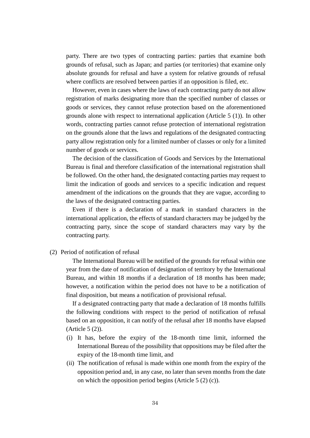party. There are two types of contracting parties: parties that examine both grounds of refusal, such as Japan; and parties (or territories) that examine only absolute grounds for refusal and have a system for relative grounds of refusal where conflicts are resolved between parties if an opposition is filed, etc.

However, even in cases where the laws of each contracting party do not allow registration of marks designating more than the specified number of classes or goods or services, they cannot refuse protection based on the aforementioned grounds alone with respect to international application (Article 5 (1)). In other words, contracting parties cannot refuse protection of international registration on the grounds alone that the laws and regulations of the designated contracting party allow registration only for a limited number of classes or only for a limited number of goods or services.

The decision of the classification of Goods and Services by the International Bureau is final and therefore classification of the international registration shall be followed. On the other hand, the designated contacting parties may request to limit the indication of goods and services to a specific indication and request amendment of the indications on the grounds that they are vague, according to the laws of the designated contracting parties.

Even if there is a declaration of a mark in standard characters in the international application, the effects of standard characters may be judged by the contracting party, since the scope of standard characters may vary by the contracting party.

(2) Period of notification of refusal

The International Bureau will be notified of the grounds for refusal within one year from the date of notification of designation of territory by the International Bureau, and within 18 months if a declaration of 18 months has been made; however, a notification within the period does not have to be a notification of final disposition, but means a notification of provisional refusal.

If a designated contracting party that made a declaration of 18 months fulfills the following conditions with respect to the period of notification of refusal based on an opposition, it can notify of the refusal after 18 months have elapsed (Article 5 (2)).

- (i) It has, before the expiry of the 18-month time limit, informed the International Bureau of the possibility that oppositions may be filed after the expiry of the 18-month time limit, and
- (ii) The notification of refusal is made within one month from the expiry of the opposition period and, in any case, no later than seven months from the date on which the opposition period begins (Article 5 (2) (c)).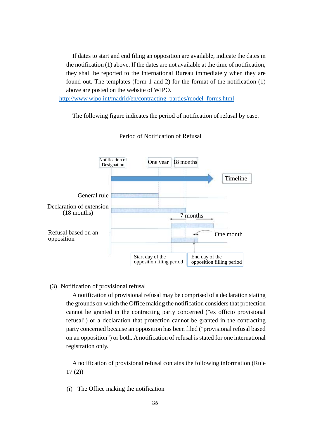If dates to start and end filing an opposition are available, indicate the dates in the notification (1) above. If the dates are not available at the time of notification, they shall be reported to the International Bureau immediately when they are found out. The templates (form 1 and 2) for the format of the notification (1) above are posted on the website of WIPO.

[http://www.wipo.int/madrid/en/contracting\\_parties/model\\_forms.html](http://www.wipo.int/madrid/en/contracting_parties/model_forms.html)

The following figure indicates the period of notification of refusal by case.



### Period of Notification of Refusal

#### (3) Notification of provisional refusal

A notification of provisional refusal may be comprised of a declaration stating the grounds on which the Office making the notification considers that protection cannot be granted in the contracting party concerned ("ex officio provisional refusal") or a declaration that protection cannot be granted in the contracting party concerned because an opposition has been filed ("provisional refusal based on an opposition") or both. A notification of refusal is stated for one international registration only.

A notification of provisional refusal contains the following information (Rule 17 (2))

(i) The Office making the notification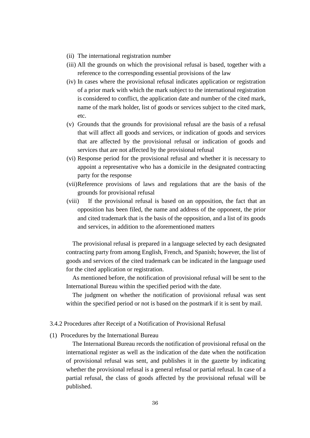- (ii) The international registration number
- (iii) All the grounds on which the provisional refusal is based, together with a reference to the corresponding essential provisions of the law
- (iv) In cases where the provisional refusal indicates application or registration of a prior mark with which the mark subject to the international registration is considered to conflict, the application date and number of the cited mark, name of the mark holder, list of goods or services subject to the cited mark, etc.
- (v) Grounds that the grounds for provisional refusal are the basis of a refusal that will affect all goods and services, or indication of goods and services that are affected by the provisional refusal or indication of goods and services that are not affected by the provisional refusal
- (vi) Response period for the provisional refusal and whether it is necessary to appoint a representative who has a domicile in the designated contracting party for the response
- (vii)Reference provisions of laws and regulations that are the basis of the grounds for provisional refusal
- (viii) If the provisional refusal is based on an opposition, the fact that an opposition has been filed, the name and address of the opponent, the prior and cited trademark that is the basis of the opposition, and a list of its goods and services, in addition to the aforementioned matters

The provisional refusal is prepared in a language selected by each designated contracting party from among English, French, and Spanish; however, the list of goods and services of the cited trademark can be indicated in the language used for the cited application or registration.

As mentioned before, the notification of provisional refusal will be sent to the International Bureau within the specified period with the date.

The judgment on whether the notification of provisional refusal was sent within the specified period or not is based on the postmark if it is sent by mail.

# 3.4.2 Procedures after Receipt of a Notification of Provisional Refusal

(1) Procedures by the International Bureau

The International Bureau records the notification of provisional refusal on the international register as well as the indication of the date when the notification of provisional refusal was sent, and publishes it in the gazette by indicating whether the provisional refusal is a general refusal or partial refusal. In case of a partial refusal, the class of goods affected by the provisional refusal will be published.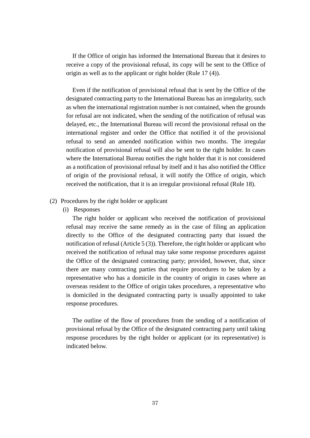If the Office of origin has informed the International Bureau that it desires to receive a copy of the provisional refusal, its copy will be sent to the Office of origin as well as to the applicant or right holder (Rule 17 (4)).

Even if the notification of provisional refusal that is sent by the Office of the designated contracting party to the International Bureau has an irregularity, such as when the international registration number is not contained, when the grounds for refusal are not indicated, when the sending of the notification of refusal was delayed, etc., the International Bureau will record the provisional refusal on the international register and order the Office that notified it of the provisional refusal to send an amended notification within two months. The irregular notification of provisional refusal will also be sent to the right holder. In cases where the International Bureau notifies the right holder that it is not considered as a notification of provisional refusal by itself and it has also notified the Office of origin of the provisional refusal, it will notify the Office of origin, which received the notification, that it is an irregular provisional refusal (Rule 18).

### (2) Procedures by the right holder or applicant

(i) Responses

The right holder or applicant who received the notification of provisional refusal may receive the same remedy as in the case of filing an application directly to the Office of the designated contracting party that issued the notification of refusal (Article 5 (3)). Therefore, the right holder or applicant who received the notification of refusal may take some response procedures against the Office of the designated contracting party; provided, however, that, since there are many contracting parties that require procedures to be taken by a representative who has a domicile in the country of origin in cases where an overseas resident to the Office of origin takes procedures, a representative who is domiciled in the designated contracting party is usually appointed to take response procedures.

The outline of the flow of procedures from the sending of a notification of provisional refusal by the Office of the designated contracting party until taking response procedures by the right holder or applicant (or its representative) is indicated below.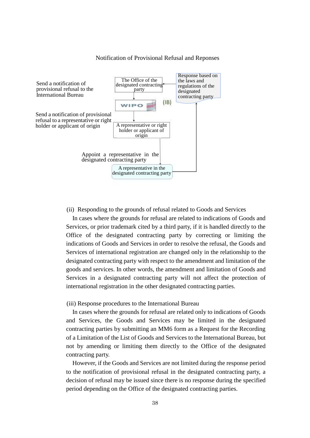

#### Notification of Provisional Refusal and Reponses

### (ii) Responding to the grounds of refusal related to Goods and Services

In cases where the grounds for refusal are related to indications of Goods and Services, or prior trademark cited by a third party, if it is handled directly to the Office of the designated contracting party by correcting or limiting the indications of Goods and Services in order to resolve the refusal, the Goods and Services of international registration are changed only in the relationship to the designated contracting party with respect to the amendment and limitation of the goods and services. In other words, the amendment and limitation of Goods and Services in a designated contracting party will not affect the protection of international registration in the other designated contracting parties.

(iii) Response procedures to the International Bureau

In cases where the grounds for refusal are related only to indications of Goods and Services, the Goods and Services may be limited in the designated contracting parties by submitting an MM6 form as a Request for the Recording of a Limitation of the List of Goods and Services to the International Bureau, but not by amending or limiting them directly to the Office of the designated contracting party.

However, if the Goods and Services are not limited during the response period to the notification of provisional refusal in the designated contracting party, a decision of refusal may be issued since there is no response during the specified period depending on the Office of the designated contracting parties.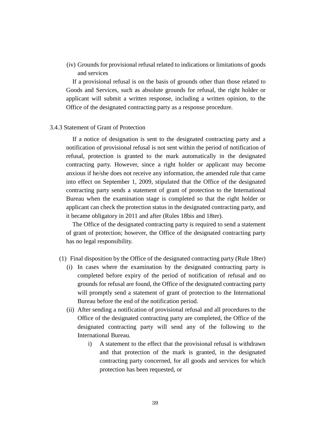(iv) Grounds for provisional refusal related to indications or limitations of goods and services

If a provisional refusal is on the basis of grounds other than those related to Goods and Services, such as absolute grounds for refusal, the right holder or applicant will submit a written response, including a written opinion, to the Office of the designated contracting party as a response procedure.

### 3.4.3 Statement of Grant of Protection

If a notice of designation is sent to the designated contracting party and a notification of provisional refusal is not sent within the period of notification of refusal, protection is granted to the mark automatically in the designated contracting party. However, since a right holder or applicant may become anxious if he/she does not receive any information, the amended rule that came into effect on September 1, 2009, stipulated that the Office of the designated contracting party sends a statement of grant of protection to the International Bureau when the examination stage is completed so that the right holder or applicant can check the protection status in the designated contracting party, and it became obligatory in 2011 and after (Rules 18bis and 18ter).

The Office of the designated contracting party is required to send a statement of grant of protection; however, the Office of the designated contracting party has no legal responsibility.

- (1) Final disposition by the Office of the designated contracting party (Rule 18ter)
	- (i) In cases where the examination by the designated contracting party is completed before expiry of the period of notification of refusal and no grounds for refusal are found, the Office of the designated contracting party will promptly send a statement of grant of protection to the International Bureau before the end of the notification period.
	- (ii) After sending a notification of provisional refusal and all procedures to the Office of the designated contracting party are completed, the Office of the designated contracting party will send any of the following to the International Bureau.
		- i) A statement to the effect that the provisional refusal is withdrawn and that protection of the mark is granted, in the designated contracting party concerned, for all goods and services for which protection has been requested, or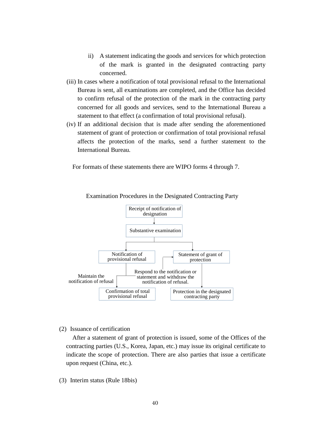- ii) A statement indicating the goods and services for which protection of the mark is granted in the designated contracting party concerned.
- (iii) In cases where a notification of total provisional refusal to the International Bureau is sent, all examinations are completed, and the Office has decided to confirm refusal of the protection of the mark in the contracting party concerned for all goods and services, send to the International Bureau a statement to that effect (a confirmation of total provisional refusal).
- (iv) If an additional decision that is made after sending the aforementioned statement of grant of protection or confirmation of total provisional refusal affects the protection of the marks, send a further statement to the International Bureau.

For formats of these statements there are WIPO forms 4 through 7.



Examination Procedures in the Designated Contracting Party

(2) Issuance of certification

After a statement of grant of protection is issued, some of the Offices of the contracting parties (U.S., Korea, Japan, etc.) may issue its original certificate to indicate the scope of protection. There are also parties that issue a certificate upon request (China, etc.).

(3) Interim status (Rule 18bis)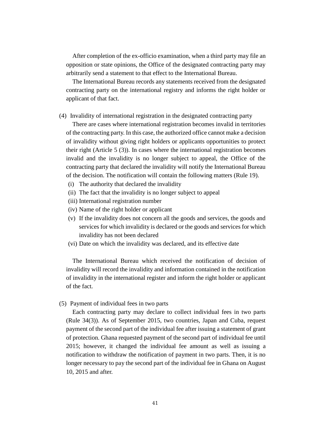After completion of the ex-officio examination, when a third party may file an opposition or state opinions, the Office of the designated contracting party may arbitrarily send a statement to that effect to the International Bureau.

The International Bureau records any statements received from the designated contracting party on the international registry and informs the right holder or applicant of that fact.

# (4) Invalidity of international registration in the designated contracting party

There are cases where international registration becomes invalid in territories of the contracting party. In this case, the authorized office cannot make a decision of invalidity without giving right holders or applicants opportunities to protect their right (Article 5 (3)). In cases where the international registration becomes invalid and the invalidity is no longer subject to appeal, the Office of the contracting party that declared the invalidity will notify the International Bureau of the decision. The notification will contain the following matters (Rule 19).

- (i) The authority that declared the invalidity
- (ii) The fact that the invalidity is no longer subject to appeal
- (iii) International registration number
- (iv) Name of the right holder or applicant
- (v) If the invalidity does not concern all the goods and services, the goods and services for which invalidity is declared or the goods and services for which invalidity has not been declared
- (vi) Date on which the invalidity was declared, and its effective date

The International Bureau which received the notification of decision of invalidity will record the invalidity and information contained in the notification of invalidity in the international register and inform the right holder or applicant of the fact.

(5) Payment of individual fees in two parts

Each contracting party may declare to collect individual fees in two parts (Rule 34(3)). As of September 2015, two countries, Japan and Cuba, request payment of the second part of the individual fee after issuing a statement of grant of protection. Ghana requested payment of the second part of individual fee until 2015; however, it changed the individual fee amount as well as issuing a notification to withdraw the notification of payment in two parts. Then, it is no longer necessary to pay the second part of the individual fee in Ghana on August 10, 2015 and after.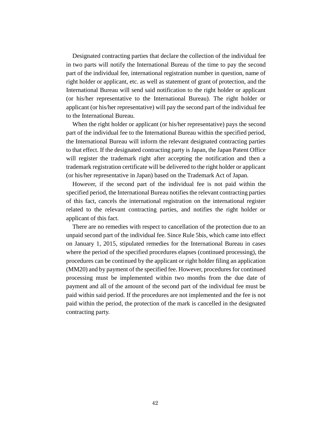Designated contracting parties that declare the collection of the individual fee in two parts will notify the International Bureau of the time to pay the second part of the individual fee, international registration number in question, name of right holder or applicant, etc. as well as statement of grant of protection, and the International Bureau will send said notification to the right holder or applicant (or his/her representative to the International Bureau). The right holder or applicant (or his/her representative) will pay the second part of the individual fee to the International Bureau.

When the right holder or applicant (or his/her representative) pays the second part of the individual fee to the International Bureau within the specified period, the International Bureau will inform the relevant designated contracting parties to that effect. If the designated contracting party is Japan, the Japan Patent Office will register the trademark right after accepting the notification and then a trademark registration certificate will be delivered to the right holder or applicant (or his/her representative in Japan) based on the Trademark Act of Japan.

However, if the second part of the individual fee is not paid within the specified period, the International Bureau notifies the relevant contracting parties of this fact, cancels the international registration on the international register related to the relevant contracting parties, and notifies the right holder or applicant of this fact.

There are no remedies with respect to cancellation of the protection due to an unpaid second part of the individual fee. Since Rule 5bis, which came into effect on January 1, 2015, stipulated remedies for the International Bureau in cases where the period of the specified procedures elapses (continued processing), the procedures can be continued by the applicant or right holder filing an application (MM20) and by payment of the specified fee. However, procedures for continued processing must be implemented within two months from the due date of payment and all of the amount of the second part of the individual fee must be paid within said period. If the procedures are not implemented and the fee is not paid within the period, the protection of the mark is cancelled in the designated contracting party.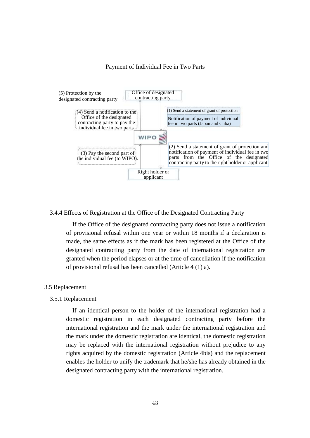#### Payment of Individual Fee in Two Parts



## 3.4.4 Effects of Registration at the Office of the Designated Contracting Party

If the Office of the designated contracting party does not issue a notification of provisional refusal within one year or within 18 months if a declaration is made, the same effects as if the mark has been registered at the Office of the designated contracting party from the date of international registration are granted when the period elapses or at the time of cancellation if the notification of provisional refusal has been cancelled (Article 4 (1) a).

# 3.5 Replacement

#### 3.5.1 Replacement

If an identical person to the holder of the international registration had a domestic registration in each designated contracting party before the international registration and the mark under the international registration and the mark under the domestic registration are identical, the domestic registration may be replaced with the international registration without prejudice to any rights acquired by the domestic registration (Article 4bis) and the replacement enables the holder to unify the trademark that he/she has already obtained in the designated contracting party with the international registration.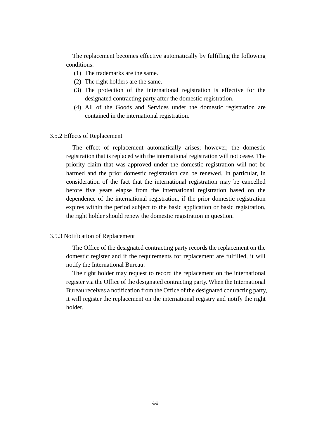The replacement becomes effective automatically by fulfilling the following conditions.

- (1) The trademarks are the same.
- (2) The right holders are the same.
- (3) The protection of the international registration is effective for the designated contracting party after the domestic registration.
- (4) All of the Goods and Services under the domestic registration are contained in the international registration.

#### 3.5.2 Effects of Replacement

The effect of replacement automatically arises; however, the domestic registration that is replaced with the international registration will not cease. The priority claim that was approved under the domestic registration will not be harmed and the prior domestic registration can be renewed. In particular, in consideration of the fact that the international registration may be cancelled before five years elapse from the international registration based on the dependence of the international registration, if the prior domestic registration expires within the period subject to the basic application or basic registration, the right holder should renew the domestic registration in question.

# 3.5.3 Notification of Replacement

The Office of the designated contracting party records the replacement on the domestic register and if the requirements for replacement are fulfilled, it will notify the International Bureau.

The right holder may request to record the replacement on the international register via the Office of the designated contracting party. When the International Bureau receives a notification from the Office of the designated contracting party, it will register the replacement on the international registry and notify the right holder.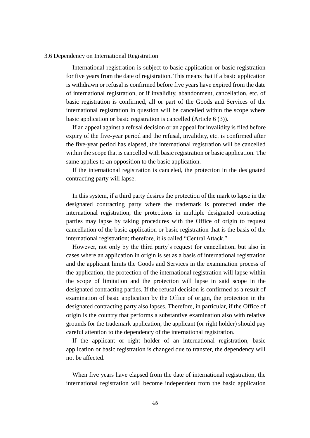## 3.6 Dependency on International Registration

International registration is subject to basic application or basic registration for five years from the date of registration. This means that if a basic application is withdrawn or refusal is confirmed before five years have expired from the date of international registration, or if invalidity, abandonment, cancellation, etc. of basic registration is confirmed, all or part of the Goods and Services of the international registration in question will be cancelled within the scope where basic application or basic registration is cancelled (Article 6 (3)).

If an appeal against a refusal decision or an appeal for invalidity is filed before expiry of the five-year period and the refusal, invalidity, etc. is confirmed after the five-year period has elapsed, the international registration will be cancelled within the scope that is cancelled with basic registration or basic application. The same applies to an opposition to the basic application.

If the international registration is canceled, the protection in the designated contracting party will lapse.

In this system, if a third party desires the protection of the mark to lapse in the designated contracting party where the trademark is protected under the international registration, the protections in multiple designated contracting parties may lapse by taking procedures with the Office of origin to request cancellation of the basic application or basic registration that is the basis of the international registration; therefore, it is called "Central Attack."

However, not only by the third party's request for cancellation, but also in cases where an application in origin is set as a basis of international registration and the applicant limits the Goods and Services in the examination process of the application, the protection of the international registration will lapse within the scope of limitation and the protection will lapse in said scope in the designated contracting parties. If the refusal decision is confirmed as a result of examination of basic application by the Office of origin, the protection in the designated contracting party also lapses. Therefore, in particular, if the Office of origin is the country that performs a substantive examination also with relative grounds for the trademark application, the applicant (or right holder) should pay careful attention to the dependency of the international registration.

If the applicant or right holder of an international registration, basic application or basic registration is changed due to transfer, the dependency will not be affected.

When five years have elapsed from the date of international registration, the international registration will become independent from the basic application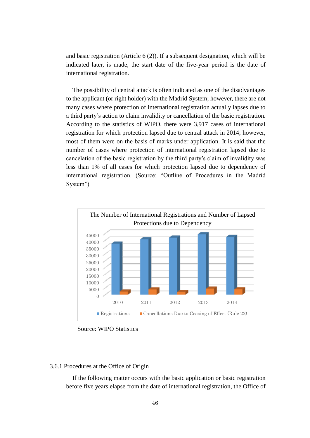and basic registration (Article 6 (2)). If a subsequent designation, which will be indicated later, is made, the start date of the five-year period is the date of international registration.

The possibility of central attack is often indicated as one of the disadvantages to the applicant (or right holder) with the Madrid System; however, there are not many cases where protection of international registration actually lapses due to a third party's action to claim invalidity or cancellation of the basic registration. According to the statistics of WIPO, there were 3,917 cases of international registration for which protection lapsed due to central attack in 2014; however, most of them were on the basis of marks under application. It is said that the number of cases where protection of international registration lapsed due to cancelation of the basic registration by the third party's claim of invalidity was less than 1% of all cases for which protection lapsed due to dependency of international registration. (Source: "Outline of Procedures in the Madrid System")



Source: WIPO Statistics

## 3.6.1 Procedures at the Office of Origin

If the following matter occurs with the basic application or basic registration before five years elapse from the date of international registration, the Office of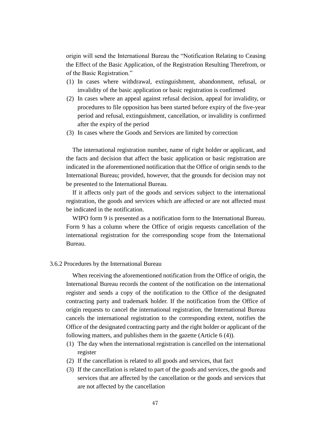origin will send the International Bureau the "Notification Relating to Ceasing the Effect of the Basic Application, of the Registration Resulting Therefrom, or of the Basic Registration."

- (1) In cases where withdrawal, extinguishment, abandonment, refusal, or invalidity of the basic application or basic registration is confirmed
- (2) In cases where an appeal against refusal decision, appeal for invalidity, or procedures to file opposition has been started before expiry of the five-year period and refusal, extinguishment, cancellation, or invalidity is confirmed after the expiry of the period
- (3) In cases where the Goods and Services are limited by correction

The international registration number, name of right holder or applicant, and the facts and decision that affect the basic application or basic registration are indicated in the aforementioned notification that the Office of origin sends to the International Bureau; provided, however, that the grounds for decision may not be presented to the International Bureau.

If it affects only part of the goods and services subject to the international registration, the goods and services which are affected or are not affected must be indicated in the notification.

WIPO form 9 is presented as a notification form to the International Bureau. Form 9 has a column where the Office of origin requests cancellation of the international registration for the corresponding scope from the International Bureau.

## 3.6.2 Procedures by the International Bureau

When receiving the aforementioned notification from the Office of origin, the International Bureau records the content of the notification on the international register and sends a copy of the notification to the Office of the designated contracting party and trademark holder. If the notification from the Office of origin requests to cancel the international registration, the International Bureau cancels the international registration to the corresponding extent, notifies the Office of the designated contracting party and the right holder or applicant of the following matters, and publishes them in the gazette (Article 6 (4)).

- (1) The day when the international registration is cancelled on the international register
- (2) If the cancellation is related to all goods and services, that fact
- (3) If the cancellation is related to part of the goods and services, the goods and services that are affected by the cancellation or the goods and services that are not affected by the cancellation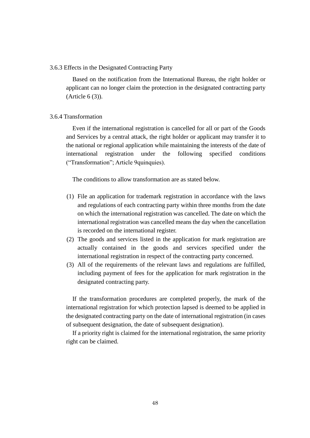### 3.6.3 Effects in the Designated Contracting Party

Based on the notification from the International Bureau, the right holder or applicant can no longer claim the protection in the designated contracting party (Article 6 (3)).

# 3.6.4 Transformation

Even if the international registration is cancelled for all or part of the Goods and Services by a central attack, the right holder or applicant may transfer it to the national or regional application while maintaining the interests of the date of international registration under the following specified conditions ("Transformation"; Article 9quinquies).

The conditions to allow transformation are as stated below.

- (1) File an application for trademark registration in accordance with the laws and regulations of each contracting party within three months from the date on which the international registration was cancelled. The date on which the international registration was cancelled means the day when the cancellation is recorded on the international register.
- (2) The goods and services listed in the application for mark registration are actually contained in the goods and services specified under the international registration in respect of the contracting party concerned.
- (3) All of the requirements of the relevant laws and regulations are fulfilled, including payment of fees for the application for mark registration in the designated contracting party.

If the transformation procedures are completed properly, the mark of the international registration for which protection lapsed is deemed to be applied in the designated contracting party on the date of international registration (in cases of subsequent designation, the date of subsequent designation).

If a priority right is claimed for the international registration, the same priority right can be claimed.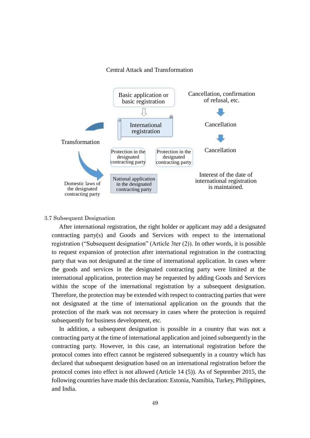#### Central Attack and Transformation



#### 3.7 Subsequent Designation

After international registration, the right holder or applicant may add a designated contracting party(s) and Goods and Services with respect to the international registration ("Subsequent designation" (Article 3ter (2)). In other words, it is possible to request expansion of protection after international registration in the contracting party that was not designated at the time of international application. In cases where the goods and services in the designated contracting party were limited at the international application, protection may be requested by adding Goods and Services within the scope of the international registration by a subsequent designation. Therefore, the protection may be extended with respect to contracting parties that were not designated at the time of international application on the grounds that the protection of the mark was not necessary in cases where the protection is required subsequently for business development, etc.

In addition, a subsequent designation is possible in a country that was not a contracting party at the time of international application and joined subsequently in the contracting party. However, in this case, an international registration before the protocol comes into effect cannot be registered subsequently in a country which has declared that subsequent designation based on an international registration before the protocol comes into effect is not allowed (Article 14 (5)). As of September 2015, the following countries have made this declaration: Estonia, Namibia, Turkey, Philippines, and India.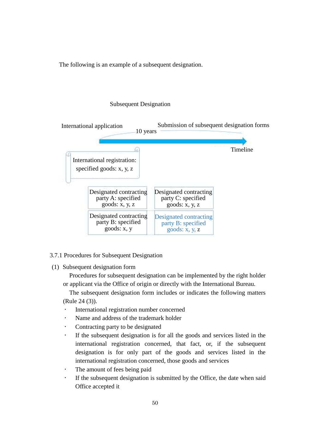The following is an example of a subsequent designation.

# Subsequent Designation



## 3.7.1 Procedures for Subsequent Designation

(1) Subsequent designation form

Procedures for subsequent designation can be implemented by the right holder or applicant via the Office of origin or directly with the International Bureau.

The subsequent designation form includes or indicates the following matters (Rule 24 (3)).

- International registration number concerned
- Name and address of the trademark holder
- Contracting party to be designated
- If the subsequent designation is for all the goods and services listed in the international registration concerned, that fact, or, if the subsequent designation is for only part of the goods and services listed in the international registration concerned, those goods and services
- The amount of fees being paid
- If the subsequent designation is submitted by the Office, the date when said Office accepted it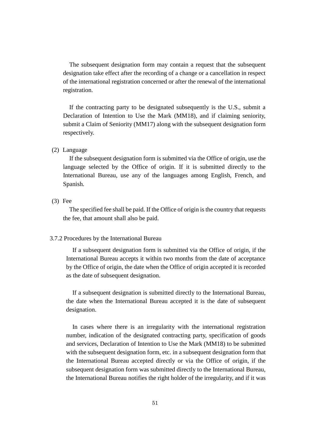The subsequent designation form may contain a request that the subsequent designation take effect after the recording of a change or a cancellation in respect of the international registration concerned or after the renewal of the international registration.

If the contracting party to be designated subsequently is the U.S., submit a Declaration of Intention to Use the Mark (MM18), and if claiming seniority, submit a Claim of Seniority (MM17) along with the subsequent designation form respectively.

## (2) Language

If the subsequent designation form is submitted via the Office of origin, use the language selected by the Office of origin. If it is submitted directly to the International Bureau, use any of the languages among English, French, and Spanish.

(3) Fee

The specified fee shall be paid. If the Office of origin is the country that requests the fee, that amount shall also be paid.

## 3.7.2 Procedures by the International Bureau

If a subsequent designation form is submitted via the Office of origin, if the International Bureau accepts it within two months from the date of acceptance by the Office of origin, the date when the Office of origin accepted it is recorded as the date of subsequent designation.

If a subsequent designation is submitted directly to the International Bureau, the date when the International Bureau accepted it is the date of subsequent designation.

In cases where there is an irregularity with the international registration number, indication of the designated contracting party, specification of goods and services, Declaration of Intention to Use the Mark (MM18) to be submitted with the subsequent designation form, etc. in a subsequent designation form that the International Bureau accepted directly or via the Office of origin, if the subsequent designation form was submitted directly to the International Bureau, the International Bureau notifies the right holder of the irregularity, and if it was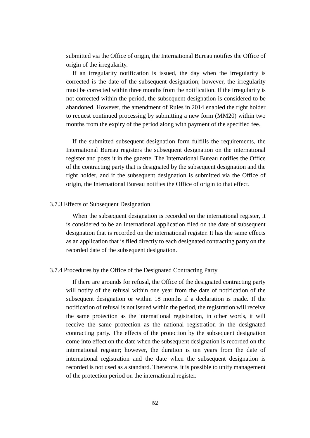submitted via the Office of origin, the International Bureau notifies the Office of origin of the irregularity.

If an irregularity notification is issued, the day when the irregularity is corrected is the date of the subsequent designation; however, the irregularity must be corrected within three months from the notification. If the irregularity is not corrected within the period, the subsequent designation is considered to be abandoned. However, the amendment of Rules in 2014 enabled the right holder to request continued processing by submitting a new form (MM20) within two months from the expiry of the period along with payment of the specified fee.

If the submitted subsequent designation form fulfills the requirements, the International Bureau registers the subsequent designation on the international register and posts it in the gazette. The International Bureau notifies the Office of the contracting party that is designated by the subsequent designation and the right holder, and if the subsequent designation is submitted via the Office of origin, the International Bureau notifies the Office of origin to that effect.

# 3.7.3 Effects of Subsequent Designation

When the subsequent designation is recorded on the international register, it is considered to be an international application filed on the date of subsequent designation that is recorded on the international register. It has the same effects as an application that is filed directly to each designated contracting party on the recorded date of the subsequent designation.

### 3.7.4 Procedures by the Office of the Designated Contracting Party

If there are grounds for refusal, the Office of the designated contracting party will notify of the refusal within one year from the date of notification of the subsequent designation or within 18 months if a declaration is made. If the notification of refusal is not issued within the period, the registration will receive the same protection as the international registration, in other words, it will receive the same protection as the national registration in the designated contracting party. The effects of the protection by the subsequent designation come into effect on the date when the subsequent designation is recorded on the international register; however, the duration is ten years from the date of international registration and the date when the subsequent designation is recorded is not used as a standard. Therefore, it is possible to unify management of the protection period on the international register.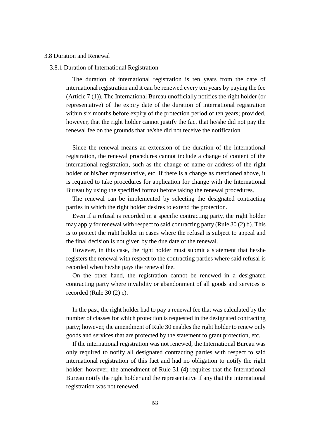#### 3.8 Duration and Renewal

### 3.8.1 Duration of International Registration

The duration of international registration is ten years from the date of international registration and it can be renewed every ten years by paying the fee (Article 7 (1)). The International Bureau unofficially notifies the right holder (or representative) of the expiry date of the duration of international registration within six months before expiry of the protection period of ten years; provided, however, that the right holder cannot justify the fact that he/she did not pay the renewal fee on the grounds that he/she did not receive the notification.

Since the renewal means an extension of the duration of the international registration, the renewal procedures cannot include a change of content of the international registration, such as the change of name or address of the right holder or his/her representative, etc. If there is a change as mentioned above, it is required to take procedures for application for change with the International Bureau by using the specified format before taking the renewal procedures.

The renewal can be implemented by selecting the designated contracting parties in which the right holder desires to extend the protection.

Even if a refusal is recorded in a specific contracting party, the right holder may apply for renewal with respect to said contracting party (Rule 30 (2) b). This is to protect the right holder in cases where the refusal is subject to appeal and the final decision is not given by the due date of the renewal.

However, in this case, the right holder must submit a statement that he/she registers the renewal with respect to the contracting parties where said refusal is recorded when he/she pays the renewal fee.

On the other hand, the registration cannot be renewed in a designated contracting party where invalidity or abandonment of all goods and services is recorded (Rule 30 (2) c).

In the past, the right holder had to pay a renewal fee that was calculated by the number of classes for which protection is requested in the designated contracting party; however, the amendment of Rule 30 enables the right holder to renew only goods and services that are protected by the statement to grant protection, etc..

If the international registration was not renewed, the International Bureau was only required to notify all designated contracting parties with respect to said international registration of this fact and had no obligation to notify the right holder; however, the amendment of Rule 31 (4) requires that the International Bureau notify the right holder and the representative if any that the international registration was not renewed.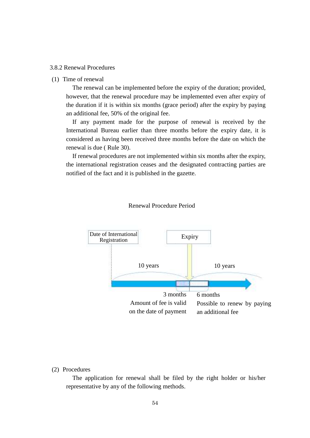## 3.8.2 Renewal Procedures

### (1) Time of renewal

The renewal can be implemented before the expiry of the duration; provided, however, that the renewal procedure may be implemented even after expiry of the duration if it is within six months (grace period) after the expiry by paying an additional fee, 50% of the original fee.

If any payment made for the purpose of renewal is received by the International Bureau earlier than three months before the expiry date, it is considered as having been received three months before the date on which the renewal is due ( Rule 30).

If renewal procedures are not implemented within six months after the expiry, the international registration ceases and the designated contracting parties are notified of the fact and it is published in the gazette.



#### Renewal Procedure Period

### (2) Procedures

The application for renewal shall be filed by the right holder or his/her representative by any of the following methods.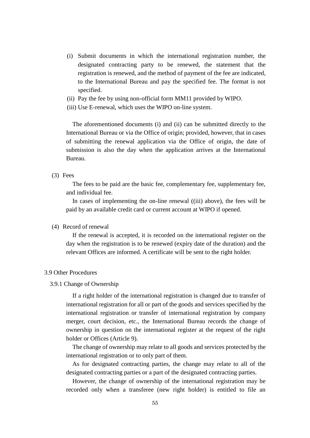- (i) Submit documents in which the international registration number, the designated contracting party to be renewed, the statement that the registration is renewed, and the method of payment of the fee are indicated, to the International Bureau and pay the specified fee. The format is not specified.
- (ii) Pay the fee by using non-official form MM11 provided by WIPO.
- (iii) Use E-renewal, which uses the WIPO on-line system.

The aforementioned documents (i) and (ii) can be submitted directly to the International Bureau or via the Office of origin; provided, however, that in cases of submitting the renewal application via the Office of origin, the date of submission is also the day when the application arrives at the International Bureau.

(3) Fees

The fees to be paid are the basic fee, complementary fee, supplementary fee, and individual fee.

In cases of implementing the on-line renewal ((iii) above), the fees will be paid by an available credit card or current account at WIPO if opened.

# (4) Record of renewal

If the renewal is accepted, it is recorded on the international register on the day when the registration is to be renewed (expiry date of the duration) and the relevant Offices are informed. A certificate will be sent to the right holder.

# 3.9 Other Procedures

## 3.9.1 Change of Ownership

If a right holder of the international registration is changed due to transfer of international registration for all or part of the goods and services specified by the international registration or transfer of international registration by company merger, court decision, etc., the International Bureau records the change of ownership in question on the international register at the request of the right holder or Offices (Article 9).

The change of ownership may relate to all goods and services protected by the international registration or to only part of them.

As for designated contracting parties, the change may relate to all of the designated contracting parties or a part of the designated contracting parties.

However, the change of ownership of the international registration may be recorded only when a transferee (new right holder) is entitled to file an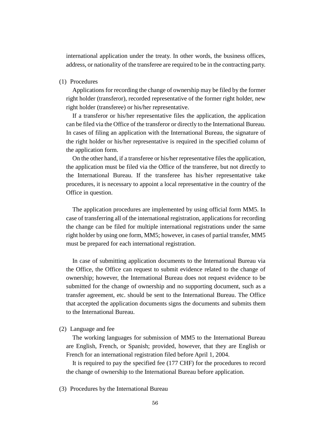international application under the treaty. In other words, the business offices, address, or nationality of the transferee are required to be in the contracting party.

### (1) Procedures

Applications for recording the change of ownership may be filed by the former right holder (transferor), recorded representative of the former right holder, new right holder (transferee) or his/her representative.

If a transferor or his/her representative files the application, the application can be filed via the Office of the transferor or directly to the International Bureau. In cases of filing an application with the International Bureau, the signature of the right holder or his/her representative is required in the specified column of the application form.

On the other hand, if a transferee or his/her representative files the application, the application must be filed via the Office of the transferee, but not directly to the International Bureau. If the transferee has his/her representative take procedures, it is necessary to appoint a local representative in the country of the Office in question.

The application procedures are implemented by using official form MM5. In case of transferring all of the international registration, applications for recording the change can be filed for multiple international registrations under the same right holder by using one form, MM5; however, in cases of partial transfer, MM5 must be prepared for each international registration.

In case of submitting application documents to the International Bureau via the Office, the Office can request to submit evidence related to the change of ownership; however, the International Bureau does not request evidence to be submitted for the change of ownership and no supporting document, such as a transfer agreement, etc. should be sent to the International Bureau. The Office that accepted the application documents signs the documents and submits them to the International Bureau.

# (2) Language and fee

The working languages for submission of MM5 to the International Bureau are English, French, or Spanish; provided, however, that they are English or French for an international registration filed before April 1, 2004.

It is required to pay the specified fee (177 CHF) for the procedures to record the change of ownership to the International Bureau before application.

(3) Procedures by the International Bureau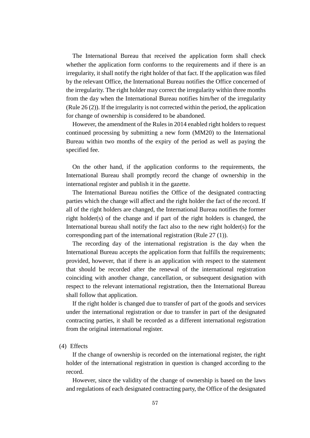The International Bureau that received the application form shall check whether the application form conforms to the requirements and if there is an irregularity, it shall notify the right holder of that fact. If the application was filed by the relevant Office, the International Bureau notifies the Office concerned of the irregularity. The right holder may correct the irregularity within three months from the day when the International Bureau notifies him/her of the irregularity (Rule 26 (2)). If the irregularity is not corrected within the period, the application for change of ownership is considered to be abandoned.

However, the amendment of the Rules in 2014 enabled right holders to request continued processing by submitting a new form (MM20) to the International Bureau within two months of the expiry of the period as well as paying the specified fee.

On the other hand, if the application conforms to the requirements, the International Bureau shall promptly record the change of ownership in the international register and publish it in the gazette.

The International Bureau notifies the Office of the designated contracting parties which the change will affect and the right holder the fact of the record. If all of the right holders are changed, the International Bureau notifies the former right holder(s) of the change and if part of the right holders is changed, the International bureau shall notify the fact also to the new right holder(s) for the corresponding part of the international registration (Rule 27 (1)).

The recording day of the international registration is the day when the International Bureau accepts the application form that fulfills the requirements; provided, however, that if there is an application with respect to the statement that should be recorded after the renewal of the international registration coinciding with another change, cancellation, or subsequent designation with respect to the relevant international registration, then the International Bureau shall follow that application.

If the right holder is changed due to transfer of part of the goods and services under the international registration or due to transfer in part of the designated contracting parties, it shall be recorded as a different international registration from the original international register.

#### (4) Effects

If the change of ownership is recorded on the international register, the right holder of the international registration in question is changed according to the record.

However, since the validity of the change of ownership is based on the laws and regulations of each designated contracting party, the Office of the designated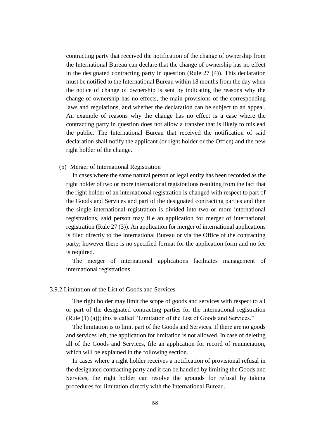contracting party that received the notification of the change of ownership from the International Bureau can declare that the change of ownership has no effect in the designated contracting party in question (Rule 27 (4)). This declaration must be notified to the International Bureau within 18 months from the day when the notice of change of ownership is sent by indicating the reasons why the change of ownership has no effects, the main provisions of the corresponding laws and regulations, and whether the declaration can be subject to an appeal. An example of reasons why the change has no effect is a case where the contracting party in question does not allow a transfer that is likely to mislead the public. The International Bureau that received the notification of said declaration shall notify the applicant (or right holder or the Office) and the new right holder of the change.

(5) Merger of International Registration

In cases where the same natural person or legal entity has been recorded as the right holder of two or more international registrations resulting from the fact that the right holder of an international registration is changed with respect to part of the Goods and Services and part of the designated contracting parties and then the single international registration is divided into two or more international registrations, said person may file an application for merger of international registration (Rule 27 (3)). An application for merger of international applications is filed directly to the International Bureau or via the Office of the contracting party; however there is no specified format for the application form and no fee is required.

The merger of international applications facilitates management of international registrations.

# 3.9.2 Limitation of the List of Goods and Services

The right holder may limit the scope of goods and services with respect to all or part of the designated contracting parties for the international registration (Rule (1) (a)); this is called "Limitation of the List of Goods and Services."

The limitation is to limit part of the Goods and Services. If there are no goods and services left, the application for limitation is not allowed. In case of deleting all of the Goods and Services, file an application for record of renunciation, which will be explained in the following section.

In cases where a right holder receives a notification of provisional refusal in the designated contracting party and it can be handled by limiting the Goods and Services, the right holder can resolve the grounds for refusal by taking procedures for limitation directly with the International Bureau.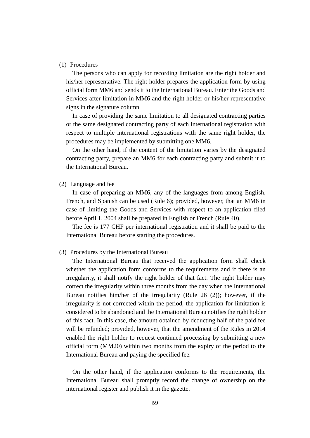#### (1) Procedures

The persons who can apply for recording limitation are the right holder and his/her representative. The right holder prepares the application form by using official form MM6 and sends it to the International Bureau. Enter the Goods and Services after limitation in MM6 and the right holder or his/her representative signs in the signature column.

In case of providing the same limitation to all designated contracting parties or the same designated contracting party of each international registration with respect to multiple international registrations with the same right holder, the procedures may be implemented by submitting one MM6.

On the other hand, if the content of the limitation varies by the designated contracting party, prepare an MM6 for each contracting party and submit it to the International Bureau.

#### (2) Language and fee

In case of preparing an MM6, any of the languages from among English, French, and Spanish can be used (Rule 6); provided, however, that an MM6 in case of limiting the Goods and Services with respect to an application filed before April 1, 2004 shall be prepared in English or French (Rule 40).

The fee is 177 CHF per international registration and it shall be paid to the International Bureau before starting the procedures.

#### (3) Procedures by the International Bureau

The International Bureau that received the application form shall check whether the application form conforms to the requirements and if there is an irregularity, it shall notify the right holder of that fact. The right holder may correct the irregularity within three months from the day when the International Bureau notifies him/her of the irregularity (Rule 26 (2)); however, if the irregularity is not corrected within the period, the application for limitation is considered to be abandoned and the International Bureau notifies the right holder of this fact. In this case, the amount obtained by deducting half of the paid fee will be refunded; provided, however, that the amendment of the Rules in 2014 enabled the right holder to request continued processing by submitting a new official form (MM20) within two months from the expiry of the period to the International Bureau and paying the specified fee.

On the other hand, if the application conforms to the requirements, the International Bureau shall promptly record the change of ownership on the international register and publish it in the gazette.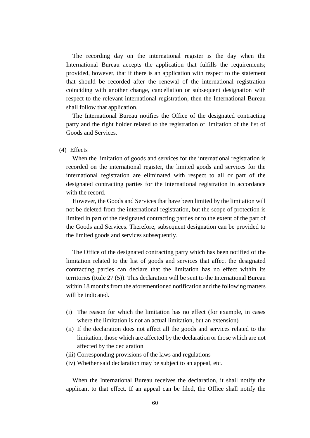The recording day on the international register is the day when the International Bureau accepts the application that fulfills the requirements; provided, however, that if there is an application with respect to the statement that should be recorded after the renewal of the international registration coinciding with another change, cancellation or subsequent designation with respect to the relevant international registration, then the International Bureau shall follow that application.

The International Bureau notifies the Office of the designated contracting party and the right holder related to the registration of limitation of the list of Goods and Services.

### (4) Effects

When the limitation of goods and services for the international registration is recorded on the international register, the limited goods and services for the international registration are eliminated with respect to all or part of the designated contracting parties for the international registration in accordance with the record.

However, the Goods and Services that have been limited by the limitation will not be deleted from the international registration, but the scope of protection is limited in part of the designated contracting parties or to the extent of the part of the Goods and Services. Therefore, subsequent designation can be provided to the limited goods and services subsequently.

The Office of the designated contracting party which has been notified of the limitation related to the list of goods and services that affect the designated contracting parties can declare that the limitation has no effect within its territories (Rule 27 (5)). This declaration will be sent to the International Bureau within 18 months from the aforementioned notification and the following matters will be indicated.

- (i) The reason for which the limitation has no effect (for example, in cases where the limitation is not an actual limitation, but an extension)
- (ii) If the declaration does not affect all the goods and services related to the limitation, those which are affected by the declaration or those which are not affected by the declaration
- (iii) Corresponding provisions of the laws and regulations
- (iv) Whether said declaration may be subject to an appeal, etc.

When the International Bureau receives the declaration, it shall notify the applicant to that effect. If an appeal can be filed, the Office shall notify the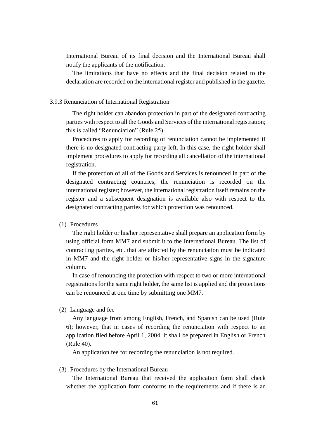International Bureau of its final decision and the International Bureau shall notify the applicants of the notification.

The limitations that have no effects and the final decision related to the declaration are recorded on the international register and published in the gazette.

# 3.9.3 Renunciation of International Registration

The right holder can abandon protection in part of the designated contracting parties with respect to all the Goods and Services of the international registration; this is called "Renunciation" (Rule 25).

Procedures to apply for recording of renunciation cannot be implemented if there is no designated contracting party left. In this case, the right holder shall implement procedures to apply for recording all cancellation of the international registration.

If the protection of all of the Goods and Services is renounced in part of the designated contracting countries, the renunciation is recorded on the international register; however, the international registration itself remains on the register and a subsequent designation is available also with respect to the designated contracting parties for which protection was renounced.

## (1) Procedures

The right holder or his/her representative shall prepare an application form by using official form MM7 and submit it to the International Bureau. The list of contracting parties, etc. that are affected by the renunciation must be indicated in MM7 and the right holder or his/her representative signs in the signature column.

In case of renouncing the protection with respect to two or more international registrations for the same right holder, the same list is applied and the protections can be renounced at one time by submitting one MM7.

# (2) Language and fee

Any language from among English, French, and Spanish can be used (Rule 6); however, that in cases of recording the renunciation with respect to an application filed before April 1, 2004, it shall be prepared in English or French (Rule 40).

An application fee for recording the renunciation is not required.

# (3) Procedures by the International Bureau

The International Bureau that received the application form shall check whether the application form conforms to the requirements and if there is an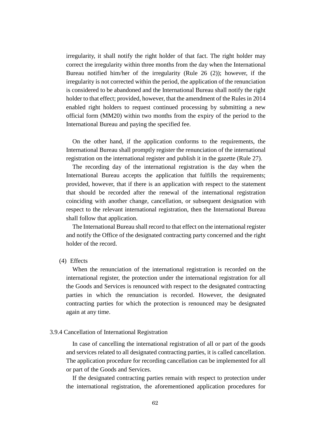irregularity, it shall notify the right holder of that fact. The right holder may correct the irregularity within three months from the day when the International Bureau notified him/her of the irregularity (Rule 26 (2)); however, if the irregularity is not corrected within the period, the application of the renunciation is considered to be abandoned and the International Bureau shall notify the right holder to that effect; provided, however, that the amendment of the Rules in 2014 enabled right holders to request continued processing by submitting a new official form (MM20) within two months from the expiry of the period to the International Bureau and paying the specified fee.

On the other hand, if the application conforms to the requirements, the International Bureau shall promptly register the renunciation of the international registration on the international register and publish it in the gazette (Rule 27).

The recording day of the international registration is the day when the International Bureau accepts the application that fulfills the requirements; provided, however, that if there is an application with respect to the statement that should be recorded after the renewal of the international registration coinciding with another change, cancellation, or subsequent designation with respect to the relevant international registration, then the International Bureau shall follow that application.

The International Bureau shall record to that effect on the international register and notify the Office of the designated contracting party concerned and the right holder of the record.

### (4) Effects

When the renunciation of the international registration is recorded on the international register, the protection under the international registration for all the Goods and Services is renounced with respect to the designated contracting parties in which the renunciation is recorded. However, the designated contracting parties for which the protection is renounced may be designated again at any time.

### 3.9.4 Cancellation of International Registration

In case of cancelling the international registration of all or part of the goods and services related to all designated contracting parties, it is called cancellation. The application procedure for recording cancellation can be implemented for all or part of the Goods and Services.

If the designated contracting parties remain with respect to protection under the international registration, the aforementioned application procedures for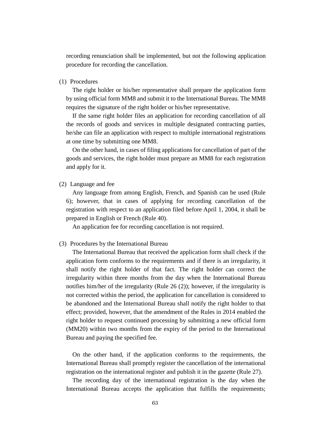recording renunciation shall be implemented, but not the following application procedure for recording the cancellation.

(1) Procedures

The right holder or his/her representative shall prepare the application form by using official form MM8 and submit it to the International Bureau. The MM8 requires the signature of the right holder or his/her representative.

If the same right holder files an application for recording cancellation of all the records of goods and services in multiple designated contracting parties, he/she can file an application with respect to multiple international registrations at one time by submitting one MM8.

On the other hand, in cases of filing applications for cancellation of part of the goods and services, the right holder must prepare an MM8 for each registration and apply for it.

(2) Language and fee

Any language from among English, French, and Spanish can be used (Rule 6); however, that in cases of applying for recording cancellation of the registration with respect to an application filed before April 1, 2004, it shall be prepared in English or French (Rule 40).

An application fee for recording cancellation is not required.

#### (3) Procedures by the International Bureau

The International Bureau that received the application form shall check if the application form conforms to the requirements and if there is an irregularity, it shall notify the right holder of that fact. The right holder can correct the irregularity within three months from the day when the International Bureau notifies him/her of the irregularity (Rule 26 (2)); however, if the irregularity is not corrected within the period, the application for cancellation is considered to be abandoned and the International Bureau shall notify the right holder to that effect; provided, however, that the amendment of the Rules in 2014 enabled the right holder to request continued processing by submitting a new official form (MM20) within two months from the expiry of the period to the International Bureau and paying the specified fee.

On the other hand, if the application conforms to the requirements, the International Bureau shall promptly register the cancellation of the international registration on the international register and publish it in the gazette (Rule 27).

The recording day of the international registration is the day when the International Bureau accepts the application that fulfills the requirements;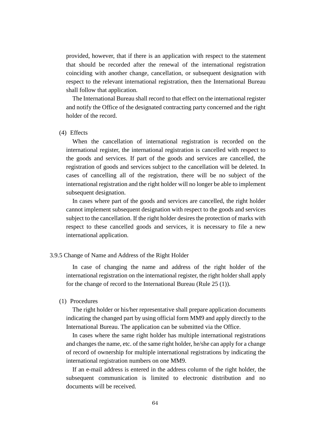provided, however, that if there is an application with respect to the statement that should be recorded after the renewal of the international registration coinciding with another change, cancellation, or subsequent designation with respect to the relevant international registration, then the International Bureau shall follow that application.

The International Bureau shall record to that effect on the international register and notify the Office of the designated contracting party concerned and the right holder of the record.

#### (4) Effects

When the cancellation of international registration is recorded on the international register, the international registration is cancelled with respect to the goods and services. If part of the goods and services are cancelled, the registration of goods and services subject to the cancellation will be deleted. In cases of cancelling all of the registration, there will be no subject of the international registration and the right holder will no longer be able to implement subsequent designation.

In cases where part of the goods and services are cancelled, the right holder cannot implement subsequent designation with respect to the goods and services subject to the cancellation. If the right holder desires the protection of marks with respect to these cancelled goods and services, it is necessary to file a new international application.

## 3.9.5 Change of Name and Address of the Right Holder

In case of changing the name and address of the right holder of the international registration on the international register, the right holder shall apply for the change of record to the International Bureau (Rule 25 (1)).

# (1) Procedures

The right holder or his/her representative shall prepare application documents indicating the changed part by using official form MM9 and apply directly to the International Bureau. The application can be submitted via the Office.

In cases where the same right holder has multiple international registrations and changes the name, etc. of the same right holder, he/she can apply for a change of record of ownership for multiple international registrations by indicating the international registration numbers on one MM9.

If an e-mail address is entered in the address column of the right holder, the subsequent communication is limited to electronic distribution and no documents will be received.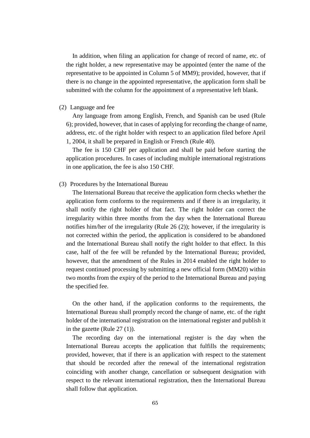In addition, when filing an application for change of record of name, etc. of the right holder, a new representative may be appointed (enter the name of the representative to be appointed in Column 5 of MM9); provided, however, that if there is no change in the appointed representative, the application form shall be submitted with the column for the appointment of a representative left blank.

#### (2) Language and fee

Any language from among English, French, and Spanish can be used (Rule 6); provided, however, that in cases of applying for recording the change of name, address, etc. of the right holder with respect to an application filed before April 1, 2004, it shall be prepared in English or French (Rule 40).

The fee is 150 CHF per application and shall be paid before starting the application procedures. In cases of including multiple international registrations in one application, the fee is also 150 CHF.

#### (3) Procedures by the International Bureau

The International Bureau that receive the application form checks whether the application form conforms to the requirements and if there is an irregularity, it shall notify the right holder of that fact. The right holder can correct the irregularity within three months from the day when the International Bureau notifies him/her of the irregularity (Rule 26 (2)); however, if the irregularity is not corrected within the period, the application is considered to be abandoned and the International Bureau shall notify the right holder to that effect. In this case, half of the fee will be refunded by the International Bureau; provided, however, that the amendment of the Rules in 2014 enabled the right holder to request continued processing by submitting a new official form (MM20) within two months from the expiry of the period to the International Bureau and paying the specified fee.

On the other hand, if the application conforms to the requirements, the International Bureau shall promptly record the change of name, etc. of the right holder of the international registration on the international register and publish it in the gazette (Rule 27 (1)).

The recording day on the international register is the day when the International Bureau accepts the application that fulfills the requirements; provided, however, that if there is an application with respect to the statement that should be recorded after the renewal of the international registration coinciding with another change, cancellation or subsequent designation with respect to the relevant international registration, then the International Bureau shall follow that application.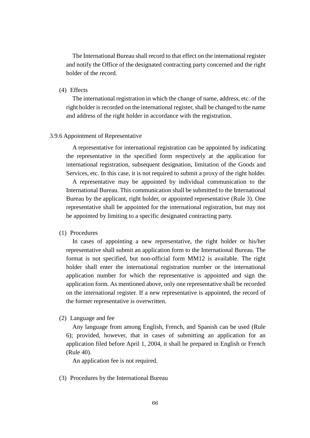The International Bureau shall record to that effect on the international register and notify the Office of the designated contracting party concerned and the right holder of the record.

# (4) Effects

The international registration in which the change of name, address, etc. of the right holder is recorded on the international register, shall be changed to the name and address of the right holder in accordance with the registration.

#### 3.9.6 Appointment of Representative

A representative for international registration can be appointed by indicating the representative in the specified form respectively at the application for international registration, subsequent designation, limitation of the Goods and Services, etc. In this case, it is not required to submit a proxy of the right holder.

A representative may be appointed by individual communication to the International Bureau. This communication shall be submitted to the International Bureau by the applicant, right holder, or appointed representative (Rule 3). One representative shall be appointed for the international registration, but may not be appointed by limiting to a specific designated contracting party.

## (1) Procedures

In cases of appointing a new representative, the right holder or his/her representative shall submit an application form to the International Bureau. The format is not specified, but non-official form MM12 is available. The right holder shall enter the international registration number or the international application number for which the representative is appointed and sign the application form. As mentioned above, only one representative shall be recorded on the international register. If a new representative is appointed, the record of the former representative is overwritten.

## (2) Language and fee

Any language from among English, French, and Spanish can be used (Rule 6); provided, however, that in cases of submitting an application for an application filed before April 1, 2004, it shall be prepared in English or French (Rule 40).

An application fee is not required.

(3) Procedures by the International Bureau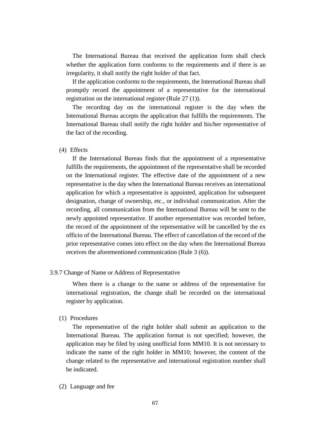The International Bureau that received the application form shall check whether the application form conforms to the requirements and if there is an irregularity, it shall notify the right holder of that fact.

If the application conforms to the requirements, the International Bureau shall promptly record the appointment of a representative for the international registration on the international register (Rule 27 (1)).

The recording day on the international register is the day when the International Bureau accepts the application that fulfills the requirements. The International Bureau shall notify the right holder and his/her representative of the fact of the recording.

## (4) Effects

If the International Bureau finds that the appointment of a representative fulfills the requirements, the appointment of the representative shall be recorded on the International register. The effective date of the appointment of a new representative is the day when the International Bureau receives an international application for which a representative is appointed, application for subsequent designation, change of ownership, etc., or individual communication. After the recording, all communication from the International Bureau will be sent to the newly appointed representative. If another representative was recorded before, the record of the appointment of the representative will be cancelled by the ex officio of the International Bureau. The effect of cancellation of the record of the prior representative comes into effect on the day when the International Bureau receives the aforementioned communication (Rule 3 (6)).

# 3.9.7 Change of Name or Address of Representative

When there is a change to the name or address of the representative for international registration, the change shall be recorded on the international register by application.

# (1) Procedures

The representative of the right holder shall submit an application to the International Bureau. The application format is not specified; however, the application may be filed by using unofficial form MM10. It is not necessary to indicate the name of the right holder in MM10; however, the content of the change related to the representative and international registration number shall be indicated.

### (2) Language and fee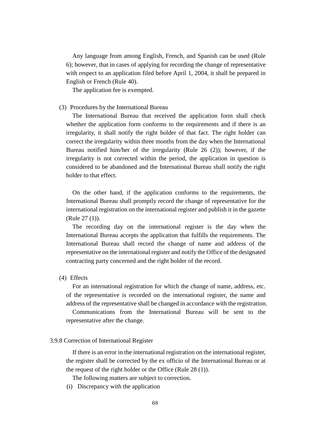Any language from among English, French, and Spanish can be used (Rule 6); however, that in cases of applying for recording the change of representative with respect to an application filed before April 1, 2004, it shall be prepared in English or French (Rule 40).

The application fee is exempted.

## (3) Procedures by the International Bureau

The International Bureau that received the application form shall check whether the application form conforms to the requirements and if there is an irregularity, it shall notify the right holder of that fact. The right holder can correct the irregularity within three months from the day when the International Bureau notified him/her of the irregularity (Rule 26 (2)); however, if the irregularity is not corrected within the period, the application in question is considered to be abandoned and the International Bureau shall notify the right holder to that effect.

On the other hand, if the application conforms to the requirements, the International Bureau shall promptly record the change of representative for the international registration on the international register and publish it in the gazette (Rule 27 (1)).

The recording day on the international register is the day when the International Bureau accepts the application that fulfills the requirements. The International Bureau shall record the change of name and address of the representative on the international register and notify the Office of the designated contracting party concerned and the right holder of the record.

(4) Effects

For an international registration for which the change of name, address, etc. of the representative is recorded on the international register, the name and address of the representative shall be changed in accordance with the registration.

Communications from the International Bureau will be sent to the representative after the change.

### 3.9.8 Correction of International Register

If there is an error in the international registration on the international register, the register shall be corrected by the ex officio of the International Bureau or at the request of the right holder or the Office (Rule 28 (1)).

The following matters are subject to correction.

(i) Discrepancy with the application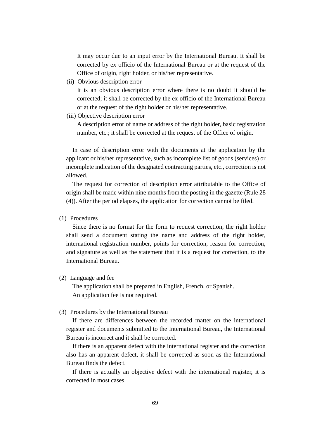It may occur due to an input error by the International Bureau. It shall be corrected by ex officio of the International Bureau or at the request of the Office of origin, right holder, or his/her representative.

(ii) Obvious description error

It is an obvious description error where there is no doubt it should be corrected; it shall be corrected by the ex officio of the International Bureau or at the request of the right holder or his/her representative.

(iii) Objective description error

A description error of name or address of the right holder, basic registration number, etc.; it shall be corrected at the request of the Office of origin.

In case of description error with the documents at the application by the applicant or his/her representative, such as incomplete list of goods (services) or incomplete indication of the designated contracting parties, etc., correction is not allowed.

The request for correction of description error attributable to the Office of origin shall be made within nine months from the posting in the gazette (Rule 28 (4)). After the period elapses, the application for correction cannot be filed.

## (1) Procedures

Since there is no format for the form to request correction, the right holder shall send a document stating the name and address of the right holder, international registration number, points for correction, reason for correction, and signature as well as the statement that it is a request for correction, to the International Bureau.

## (2) Language and fee

The application shall be prepared in English, French, or Spanish. An application fee is not required.

#### (3) Procedures by the International Bureau

If there are differences between the recorded matter on the international register and documents submitted to the International Bureau, the International Bureau is incorrect and it shall be corrected.

If there is an apparent defect with the international register and the correction also has an apparent defect, it shall be corrected as soon as the International Bureau finds the defect.

If there is actually an objective defect with the international register, it is corrected in most cases.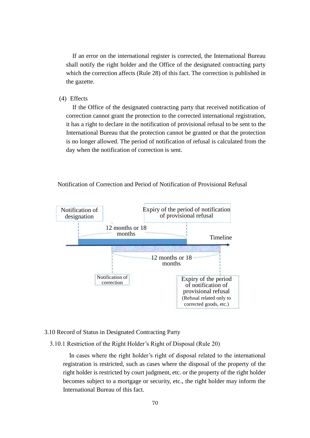If an error on the international register is corrected, the International Bureau shall notify the right holder and the Office of the designated contracting party which the correction affects (Rule 28) of this fact. The correction is published in the gazette.

(4) Effects

If the Office of the designated contracting party that received notification of correction cannot grant the protection to the corrected international registration, it has a right to declare in the notification of provisional refusal to be sent to the International Bureau that the protection cannot be granted or that the protection is no longer allowed. The period of notification of refusal is calculated from the day when the notification of correction is sent.

## Notification of Correction and Period of Notification of Provisional Refusal



#### 3.10 Record of Status in Designated Contracting Party

## 3.10.1 Restriction of the Right Holder's Right of Disposal (Rule 20)

In cases where the right holder's right of disposal related to the international registration is restricted, such as cases where the disposal of the property of the right holder is restricted by court judgment, etc. or the property of the right holder becomes subject to a mortgage or security, etc., the right holder may inform the International Bureau of this fact.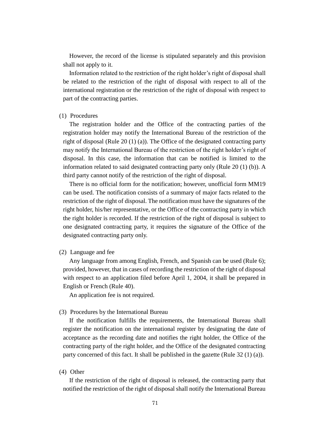However, the record of the license is stipulated separately and this provision shall not apply to it.

Information related to the restriction of the right holder's right of disposal shall be related to the restriction of the right of disposal with respect to all of the international registration or the restriction of the right of disposal with respect to part of the contracting parties.

### (1) Procedures

The registration holder and the Office of the contracting parties of the registration holder may notify the International Bureau of the restriction of the right of disposal (Rule 20 (1) (a)). The Office of the designated contracting party may notify the International Bureau of the restriction of the right holder's right of disposal. In this case, the information that can be notified is limited to the information related to said designated contracting party only (Rule 20 (1) (b)). A third party cannot notify of the restriction of the right of disposal.

There is no official form for the notification; however, unofficial form MM19 can be used. The notification consists of a summary of major facts related to the restriction of the right of disposal. The notification must have the signatures of the right holder, his/her representative, or the Office of the contracting party in which the right holder is recorded. If the restriction of the right of disposal is subject to one designated contracting party, it requires the signature of the Office of the designated contracting party only.

#### (2) Language and fee

Any language from among English, French, and Spanish can be used (Rule 6); provided, however, that in cases of recording the restriction of the right of disposal with respect to an application filed before April 1, 2004, it shall be prepared in English or French (Rule 40).

An application fee is not required.

#### (3) Procedures by the International Bureau

If the notification fulfills the requirements, the International Bureau shall register the notification on the international register by designating the date of acceptance as the recording date and notifies the right holder, the Office of the contracting party of the right holder, and the Office of the designated contracting party concerned of this fact. It shall be published in the gazette (Rule 32 (1) (a)).

#### (4) Other

If the restriction of the right of disposal is released, the contracting party that notified the restriction of the right of disposal shall notify the International Bureau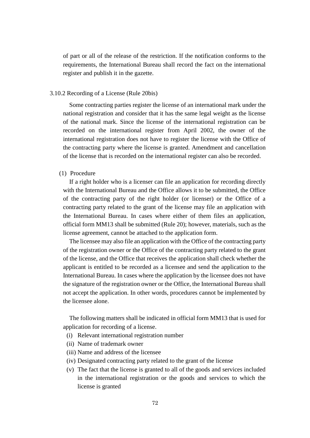of part or all of the release of the restriction. If the notification conforms to the requirements, the International Bureau shall record the fact on the international register and publish it in the gazette.

### 3.10.2 Recording of a License (Rule 20bis)

Some contracting parties register the license of an international mark under the national registration and consider that it has the same legal weight as the license of the national mark. Since the license of the international registration can be recorded on the international register from April 2002, the owner of the international registration does not have to register the license with the Office of the contracting party where the license is granted. Amendment and cancellation of the license that is recorded on the international register can also be recorded.

## (1) Procedure

If a right holder who is a licenser can file an application for recording directly with the International Bureau and the Office allows it to be submitted, the Office of the contracting party of the right holder (or licenser) or the Office of a contracting party related to the grant of the license may file an application with the International Bureau. In cases where either of them files an application, official form MM13 shall be submitted (Rule 20); however, materials, such as the license agreement, cannot be attached to the application form.

The licensee may also file an application with the Office of the contracting party of the registration owner or the Office of the contracting party related to the grant of the license, and the Office that receives the application shall check whether the applicant is entitled to be recorded as a licensee and send the application to the International Bureau. In cases where the application by the licensee does not have the signature of the registration owner or the Office, the International Bureau shall not accept the application. In other words, procedures cannot be implemented by the licensee alone.

The following matters shall be indicated in official form MM13 that is used for application for recording of a license.

- (i) Relevant international registration number
- (ii) Name of trademark owner
- (iii) Name and address of the licensee
- (iv) Designated contracting party related to the grant of the license
- (v) The fact that the license is granted to all of the goods and services included in the international registration or the goods and services to which the license is granted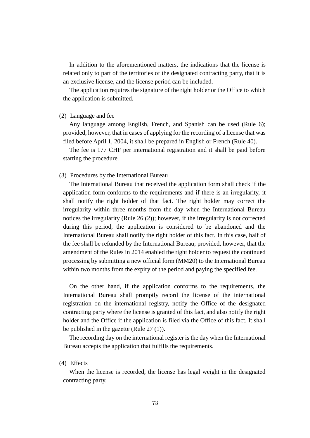In addition to the aforementioned matters, the indications that the license is related only to part of the territories of the designated contracting party, that it is an exclusive license, and the license period can be included.

The application requires the signature of the right holder or the Office to which the application is submitted.

### (2) Language and fee

Any language among English, French, and Spanish can be used (Rule 6); provided, however, that in cases of applying for the recording of a license that was filed before April 1, 2004, it shall be prepared in English or French (Rule 40).

The fee is 177 CHF per international registration and it shall be paid before starting the procedure.

## (3) Procedures by the International Bureau

The International Bureau that received the application form shall check if the application form conforms to the requirements and if there is an irregularity, it shall notify the right holder of that fact. The right holder may correct the irregularity within three months from the day when the International Bureau notices the irregularity (Rule 26 (2)); however, if the irregularity is not corrected during this period, the application is considered to be abandoned and the International Bureau shall notify the right holder of this fact. In this case, half of the fee shall be refunded by the International Bureau; provided, however, that the amendment of the Rules in 2014 enabled the right holder to request the continued processing by submitting a new official form (MM20) to the International Bureau within two months from the expiry of the period and paying the specified fee.

On the other hand, if the application conforms to the requirements, the International Bureau shall promptly record the license of the international registration on the international registry, notify the Office of the designated contracting party where the license is granted of this fact, and also notify the right holder and the Office if the application is filed via the Office of this fact. It shall be published in the gazette (Rule 27 (1)).

The recording day on the international register is the day when the International Bureau accepts the application that fulfills the requirements.

#### (4) Effects

When the license is recorded, the license has legal weight in the designated contracting party.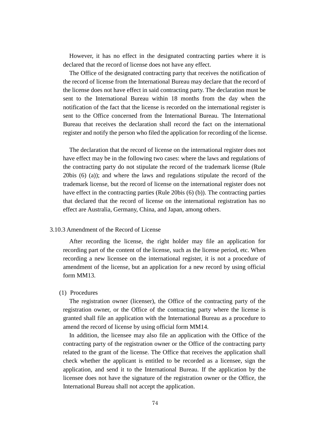However, it has no effect in the designated contracting parties where it is declared that the record of license does not have any effect.

The Office of the designated contracting party that receives the notification of the record of license from the International Bureau may declare that the record of the license does not have effect in said contracting party. The declaration must be sent to the International Bureau within 18 months from the day when the notification of the fact that the license is recorded on the international register is sent to the Office concerned from the International Bureau. The International Bureau that receives the declaration shall record the fact on the international register and notify the person who filed the application for recording of the license.

The declaration that the record of license on the international register does not have effect may be in the following two cases: where the laws and regulations of the contracting party do not stipulate the record of the trademark license (Rule 20bis (6) (a)); and where the laws and regulations stipulate the record of the trademark license, but the record of license on the international register does not have effect in the contracting parties (Rule 20bis (6) (b)). The contracting parties that declared that the record of license on the international registration has no effect are Australia, Germany, China, and Japan, among others.

## 3.10.3 Amendment of the Record of License

After recording the license, the right holder may file an application for recording part of the content of the license, such as the license period, etc. When recording a new licensee on the international register, it is not a procedure of amendment of the license, but an application for a new record by using official form MM13.

## (1) Procedures

The registration owner (licenser), the Office of the contracting party of the registration owner, or the Office of the contracting party where the license is granted shall file an application with the International Bureau as a procedure to amend the record of license by using official form MM14.

In addition, the licensee may also file an application with the Office of the contracting party of the registration owner or the Office of the contracting party related to the grant of the license. The Office that receives the application shall check whether the applicant is entitled to be recorded as a licensee, sign the application, and send it to the International Bureau. If the application by the licensee does not have the signature of the registration owner or the Office, the International Bureau shall not accept the application.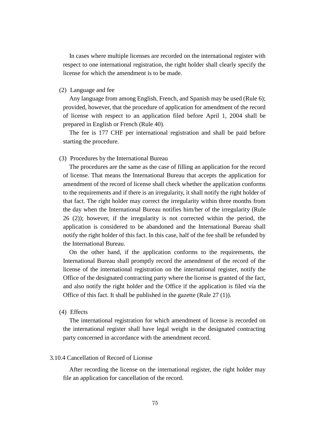In cases where multiple licenses are recorded on the international register with respect to one international registration, the right holder shall clearly specify the license for which the amendment is to be made.

### (2) Language and fee

Any language from among English, French, and Spanish may be used (Rule 6); provided, however, that the procedure of application for amendment of the record of license with respect to an application filed before April 1, 2004 shall be prepared in English or French (Rule 40).

The fee is 177 CHF per international registration and shall be paid before starting the procedure.

## (3) Procedures by the International Bureau

The procedures are the same as the case of filling an application for the record of license. That means the International Bureau that accepts the application for amendment of the record of license shall check whether the application conforms to the requirements and if there is an irregularity, it shall notify the right holder of that fact. The right holder may correct the irregularity within three months from the day when the International Bureau notifies him/her of the irregularity (Rule 26 (2)); however, if the irregularity is not corrected within the period, the application is considered to be abandoned and the International Bureau shall notify the right holder of this fact. In this case, half of the fee shall be refunded by the International Bureau.

On the other hand, if the application conforms to the requirements, the International Bureau shall promptly record the amendment of the record of the license of the international registration on the international register, notify the Office of the designated contracting party where the license is granted of the fact, and also notify the right holder and the Office if the application is filed via the Office of this fact. It shall be published in the gazette (Rule 27 (1)).

(4) Effects

The international registration for which amendment of license is recorded on the international register shall have legal weight in the designated contracting party concerned in accordance with the amendment record.

## 3.10.4 Cancellation of Record of License

After recording the license on the international register, the right holder may file an application for cancellation of the record.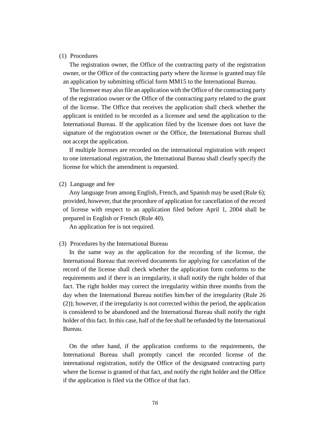## (1) Procedures

The registration owner, the Office of the contracting party of the registration owner, or the Office of the contracting party where the license is granted may file an application by submitting official form MM15 to the International Bureau.

The licensee may also file an application with the Office of the contracting party of the registration owner or the Office of the contracting party related to the grant of the license. The Office that receives the application shall check whether the applicant is entitled to be recorded as a licensee and send the application to the International Bureau. If the application filed by the licensee does not have the signature of the registration owner or the Office, the International Bureau shall not accept the application.

If multiple licenses are recorded on the international registration with respect to one international registration, the International Bureau shall clearly specify the license for which the amendment is requested.

#### (2) Language and fee

Any language from among English, French, and Spanish may be used (Rule 6); provided, however, that the procedure of application for cancellation of the record of license with respect to an application filed before April 1, 2004 shall be prepared in English or French (Rule 40).

An application fee is not required.

#### (3) Procedures by the International Bureau

In the same way as the application for the recording of the license, the International Bureau that received documents for applying for cancelation of the record of the license shall check whether the application form conforms to the requirements and if there is an irregularity, it shall notify the right holder of that fact. The right holder may correct the irregularity within three months from the day when the International Bureau notifies him/her of the irregularity (Rule 26 (2)); however, if the irregularity is not corrected within the period, the application is considered to be abandoned and the International Bureau shall notify the right holder of this fact. In this case, half of the fee shall be refunded by the International Bureau.

On the other hand, if the application conforms to the requirements, the International Bureau shall promptly cancel the recorded license of the international registration, notify the Office of the designated contracting party where the license is granted of that fact, and notify the right holder and the Office if the application is filed via the Office of that fact.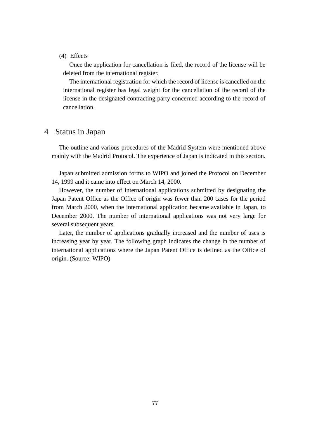## (4) Effects

Once the application for cancellation is filed, the record of the license will be deleted from the international register.

The international registration for which the record of license is cancelled on the international register has legal weight for the cancellation of the record of the license in the designated contracting party concerned according to the record of cancellation.

# 4 Status in Japan

The outline and various procedures of the Madrid System were mentioned above mainly with the Madrid Protocol. The experience of Japan is indicated in this section.

Japan submitted admission forms to WIPO and joined the Protocol on December 14, 1999 and it came into effect on March 14, 2000.

However, the number of international applications submitted by designating the Japan Patent Office as the Office of origin was fewer than 200 cases for the period from March 2000, when the international application became available in Japan, to December 2000. The number of international applications was not very large for several subsequent years.

Later, the number of applications gradually increased and the number of uses is increasing year by year. The following graph indicates the change in the number of international applications where the Japan Patent Office is defined as the Office of origin. (Source: WIPO)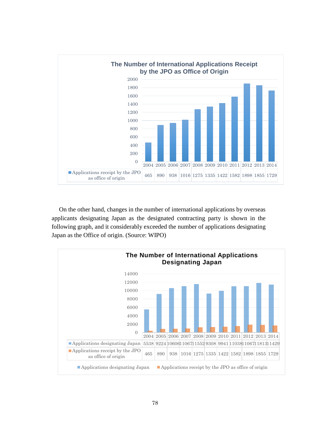

On the other hand, changes in the number of international applications by overseas applicants designating Japan as the designated contracting party is shown in the following graph, and it considerably exceeded the number of applications designating Japan as the Office of origin. (Source: WIPO)

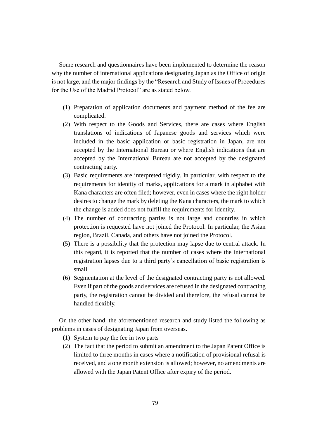Some research and questionnaires have been implemented to determine the reason why the number of international applications designating Japan as the Office of origin is not large, and the major findings by the "Research and Study of Issues of Procedures for the Use of the Madrid Protocol" are as stated below.

- (1) Preparation of application documents and payment method of the fee are complicated.
- (2) With respect to the Goods and Services, there are cases where English translations of indications of Japanese goods and services which were included in the basic application or basic registration in Japan, are not accepted by the International Bureau or where English indications that are accepted by the International Bureau are not accepted by the designated contracting party.
- (3) Basic requirements are interpreted rigidly. In particular, with respect to the requirements for identity of marks, applications for a mark in alphabet with Kana characters are often filed; however, even in cases where the right holder desires to change the mark by deleting the Kana characters, the mark to which the change is added does not fulfill the requirements for identity.
- (4) The number of contracting parties is not large and countries in which protection is requested have not joined the Protocol. In particular, the Asian region, Brazil, Canada, and others have not joined the Protocol.
- (5) There is a possibility that the protection may lapse due to central attack. In this regard, it is reported that the number of cases where the international registration lapses due to a third party's cancellation of basic registration is small.
- (6) Segmentation at the level of the designated contracting party is not allowed. Even if part of the goods and services are refused in the designated contracting party, the registration cannot be divided and therefore, the refusal cannot be handled flexibly.

On the other hand, the aforementioned research and study listed the following as problems in cases of designating Japan from overseas.

- (1) System to pay the fee in two parts
- (2) The fact that the period to submit an amendment to the Japan Patent Office is limited to three months in cases where a notification of provisional refusal is received, and a one month extension is allowed; however, no amendments are allowed with the Japan Patent Office after expiry of the period.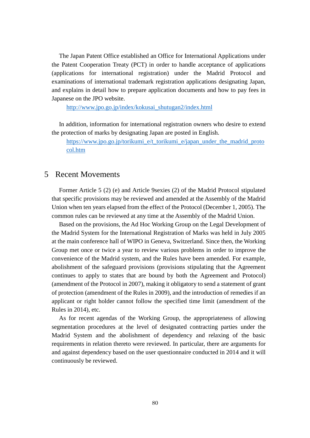The Japan Patent Office established an Office for International Applications under the Patent Cooperation Treaty (PCT) in order to handle acceptance of applications (applications for international registration) under the Madrid Protocol and examinations of international trademark registration applications designating Japan, and explains in detail how to prepare application documents and how to pay fees in Japanese on the JPO website.

[http://www.jpo.go.jp/index/kokusai\\_shutugan2/index.html](http://www.jpo.go.jp/index/kokusai_shutugan2/index.html)

In addition, information for international registration owners who desire to extend the protection of marks by designating Japan are posted in English.

[https://www.jpo.go.jp/torikumi\\_e/t\\_torikumi\\_e/japan\\_under\\_the\\_madrid\\_proto](https://www.jpo.go.jp/torikumi_e/t_torikumi_e/japan_under_the_madrid_protocol.htm) [col.htm](https://www.jpo.go.jp/torikumi_e/t_torikumi_e/japan_under_the_madrid_protocol.htm)

# 5 Recent Movements

Former Article 5 (2) (e) and Article 9sexies (2) of the Madrid Protocol stipulated that specific provisions may be reviewed and amended at the Assembly of the Madrid Union when ten years elapsed from the effect of the Protocol (December 1, 2005). The common rules can be reviewed at any time at the Assembly of the Madrid Union.

Based on the provisions, the Ad Hoc Working Group on the Legal Development of the Madrid System for the International Registration of Marks was held in July 2005 at the main conference hall of WIPO in Geneva, Switzerland. Since then, the Working Group met once or twice a year to review various problems in order to improve the convenience of the Madrid system, and the Rules have been amended. For example, abolishment of the safeguard provisions (provisions stipulating that the Agreement continues to apply to states that are bound by both the Agreement and Protocol) (amendment of the Protocol in 2007), making it obligatory to send a statement of grant of protection (amendment of the Rules in 2009), and the introduction of remedies if an applicant or right holder cannot follow the specified time limit (amendment of the Rules in 2014), etc.

As for recent agendas of the Working Group, the appropriateness of allowing segmentation procedures at the level of designated contracting parties under the Madrid System and the abolishment of dependency and relaxing of the basic requirements in relation thereto were reviewed. In particular, there are arguments for and against dependency based on the user questionnaire conducted in 2014 and it will continuously be reviewed.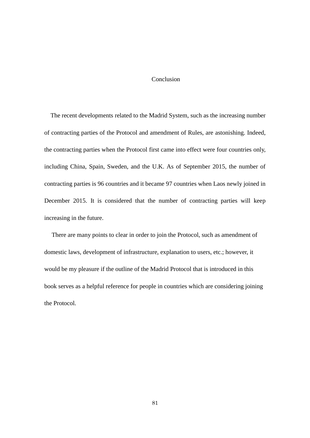## Conclusion

The recent developments related to the Madrid System, such as the increasing number of contracting parties of the Protocol and amendment of Rules, are astonishing. Indeed, the contracting parties when the Protocol first came into effect were four countries only, including China, Spain, Sweden, and the U.K. As of September 2015, the number of contracting parties is 96 countries and it became 97 countries when Laos newly joined in December 2015. It is considered that the number of contracting parties will keep increasing in the future.

There are many points to clear in order to join the Protocol, such as amendment of domestic laws, development of infrastructure, explanation to users, etc.; however, it would be my pleasure if the outline of the Madrid Protocol that is introduced in this book serves as a helpful reference for people in countries which are considering joining the Protocol.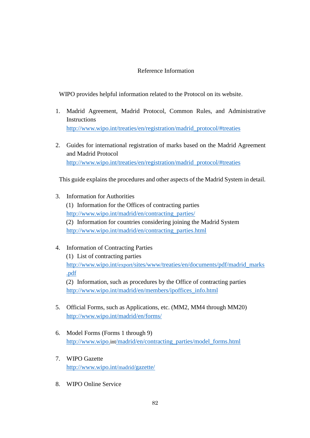# Reference Information

WIPO provides helpful information related to the Protocol on its website.

- 1. Madrid Agreement, Madrid Protocol, Common Rules, and Administrative Instructions [http://www.wipo.int/treaties/en/registration/madrid\\_protocol/#treaties](http://www.wipo.int/treaties/en/registration/madrid_protocol/#treaties)
- 2. Guides for international registration of marks based on the Madrid Agreement and Madrid Protocol [http://www.wipo.int/treaties/en/registration/madrid\\_protocol/#treaties](http://www.wipo.int/treaties/en/registration/madrid_protocol/#treaties)

This guide explains the procedures and other aspects of the Madrid System in detail.

- 3. Information for Authorities (1) Information for the Offices of contracting parties [http://www.wipo.int/madrid/en/contracting\\_parties/](http://www.wipo.int/madrid/en/contracting_parties/) (2) Information for countries considering joining the Madrid System [http://www.wipo.int/madrid/en/contracting\\_parties.html](http://www.wipo.int/madrid/en/contracting_parties.html)
- 4. Information of Contracting Parties

(1) List of contracting parties http://www.wipo.int/export[/sites/www/treaties/en/documents/pdf/madrid\\_marks](http://www.wipo.int/export/sites/www/treaties/en/documents/pdf/madrid_marks.pdf) [.pdf](http://www.wipo.int/export/sites/www/treaties/en/documents/pdf/madrid_marks.pdf) (2) Information, such as procedures by the Office of contracting parties

[http://www.wipo.int/madrid/en/members/ipoffices\\_info.html](http://www.wipo.int/madrid/en/members/ipoffices_info.html)

- 5. Official Forms, such as Applications, etc. (MM2, MM4 through MM20) <http://www.wipo.int/madrid/en/forms/>
- 6. Model Forms (Forms 1 through 9) http://www.wipo.int[/madrid/en/contracting\\_parties/model\\_forms.html](http://www.wipo.int/madrid/en/contracting_parties/model_forms.html)
- 7. WIPO Gazette [http://www.wipo.int/](http://www.wipo.int/madrid/gazette/)madrid/gazette/
- 8. WIPO Online Service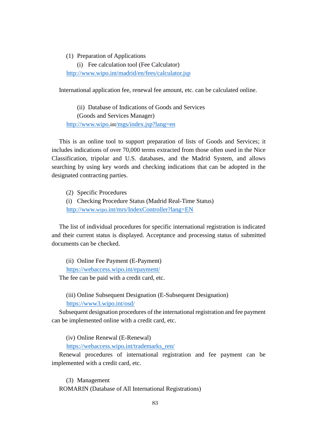## (1) Preparation of Applications

(i) Fee calculation tool (Fee Calculator) <http://www.wipo.int/madrid/en/fees/calculator.jsp>

International application fee, renewal fee amount, etc. can be calculated online.

(ii) Database of Indications of Goods and Services (Goods and Services Manager) http://www.wipo.int[/mgs/index.jsp?lang=en](http://www.wipo.int/mgs/index.jsp?lang=en)

This is an online tool to support preparation of lists of Goods and Services; it includes indications of over 70,000 terms extracted from those often used in the Nice Classification, tripolar and U.S. databases, and the Madrid System, and allows searching by using key words and checking indications that can be adopted in the designated contracting parties.

(2) Specific Procedures

(i) Checking Procedure Status (Madrid Real-Time Status) http://www.wipo[.int/mrs/IndexController?lang=EN](http://www.wipo.int/mrs/IndexController?lang=EN)

The list of individual procedures for specific international registration is indicated and their current status is displayed. Acceptance and processing status of submitted documents can be checked.

(ii) Online Fee Payment (E-Payment) <https://webaccess.wipo.int/epayment/>

The fee can be paid with a credit card, etc.

(iii) Online Subsequent Designation (E-Subsequent Designation) <https://www3.wipo.int/osd/>

Subsequent designation procedures of the international registration and fee payment can be implemented online with a credit card, etc.

(iv) Online Renewal (E-Renewal)

[https://webaccess.wipo.int/trademarks\\_ren/](https://webaccess.wipo.int/trademarks_ren/)

Renewal procedures of international registration and fee payment can be implemented with a credit card, etc.

(3) Management ROMARIN (Database of All International Registrations)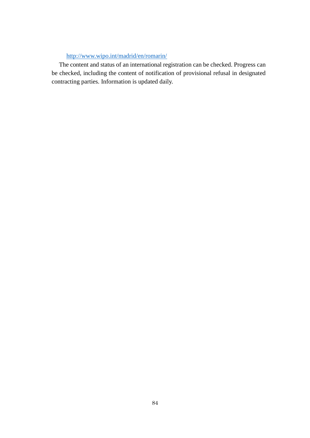# <http://www.wipo.int/madrid/en/romarin/>

The content and status of an international registration can be checked. Progress can be checked, including the content of notification of provisional refusal in designated contracting parties. Information is updated daily.